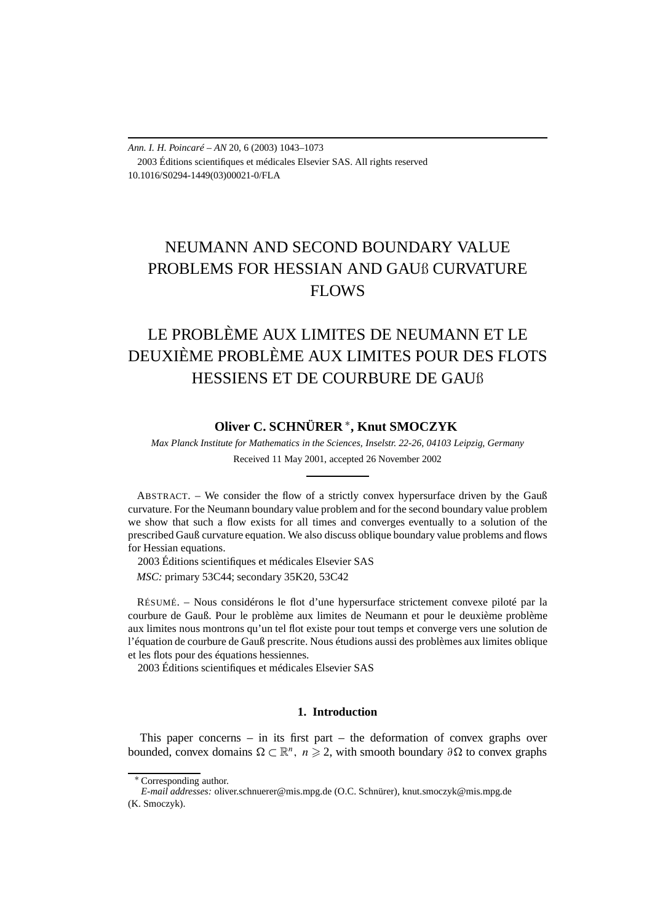*Ann. I. H. Poincaré – AN* 20, 6 (2003) 1043–1073 2003 Éditions scientifiques et médicales Elsevier SAS. All rights reserved 10.1016/S0294-1449(03)00021-0/FLA

# NEUMANN AND SECOND BOUNDARY VALUE PROBLEMS FOR HESSIAN AND GAUß CURVATURE FLOWS

# LE PROBLÈME AUX LIMITES DE NEUMANN ET LE DEUXIÈME PROBLÈME AUX LIMITES POUR DES FLOTS HESSIENS ET DE COURBURE DE GAUß

# **Oliver C. SCHNÜRER** <sup>∗</sup>**, Knut SMOCZYK**

*Max Planck Institute for Mathematics in the Sciences, Inselstr. 22-26, 04103 Leipzig, Germany* Received 11 May 2001, accepted 26 November 2002

ABSTRACT. – We consider the flow of a strictly convex hypersurface driven by the Gauß curvature. For the Neumann boundary value problem and for the second boundary value problem we show that such a flow exists for all times and converges eventually to a solution of the prescribed Gauß curvature equation. We also discuss oblique boundary value problems and flows for Hessian equations.

2003 Éditions scientifiques et médicales Elsevier SAS

*MSC:* primary 53C44; secondary 35K20, 53C42

RÉSUMÉ. – Nous considérons le flot d'une hypersurface strictement convexe piloté par la courbure de Gauß. Pour le problème aux limites de Neumann et pour le deuxième problème aux limites nous montrons qu'un tel flot existe pour tout temps et converge vers une solution de l'équation de courbure de Gauß prescrite. Nous étudions aussi des problèmes aux limites oblique et les flots pour des équations hessiennes.

2003 Éditions scientifiques et médicales Elsevier SAS

# **1. Introduction**

This paper concerns – in its first part – the deformation of convex graphs over bounded, convex domains  $\Omega \subset \mathbb{R}^n$ ,  $n \geq 2$ , with smooth boundary  $\partial \Omega$  to convex graphs

<sup>∗</sup> Corresponding author.

*E-mail addresses:* oliver.schnuerer@mis.mpg.de (O.C. Schnürer), knut.smoczyk@mis.mpg.de (K. Smoczyk).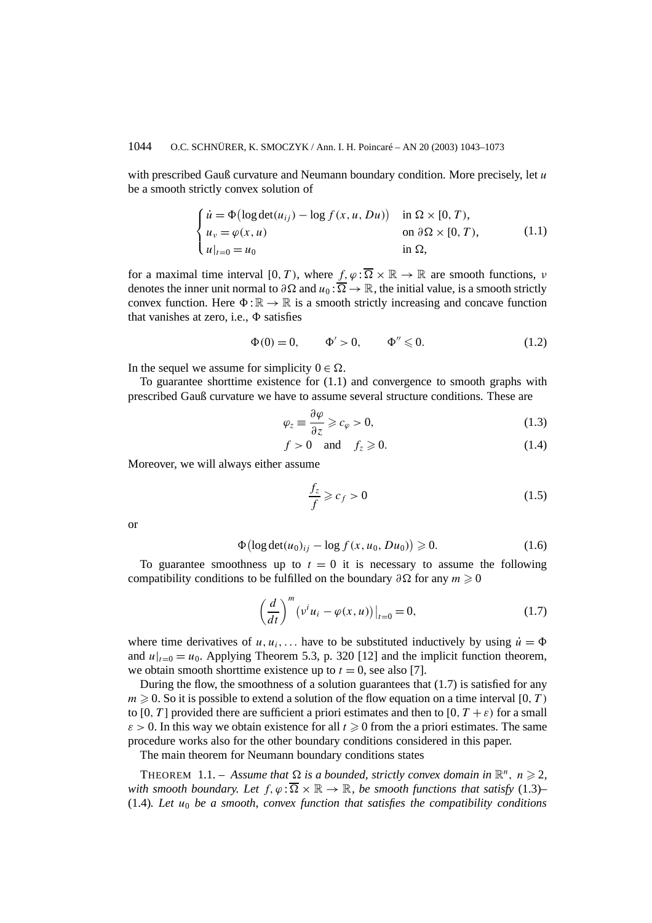with prescribed Gauß curvature and Neumann boundary condition. More precisely, let *u* be a smooth strictly convex solution of

$$
\begin{cases}\n\dot{u} = \Phi(\log \det(u_{ij}) - \log f(x, u, Du)) & \text{in } \Omega \times [0, T), \\
u_v = \varphi(x, u) & \text{on } \partial \Omega \times [0, T), \\
u|_{t=0} = u_0 & \text{in } \Omega,\n\end{cases}
$$
\n(1.1)

for a maximal time interval  $[0, T)$ , where  $f, \varphi : \overline{\Omega} \times \mathbb{R} \to \mathbb{R}$  are smooth functions, *ν* denotes the inner unit normal to  $\partial\Omega$  and  $u_0$ :  $\overline{\Omega} \to \mathbb{R}$ , the initial value, is a smooth strictly convex function. Here  $\Phi : \mathbb{R} \to \mathbb{R}$  is a smooth strictly increasing and concave function that vanishes at zero, i.e.,  $\Phi$  satisfies

$$
\Phi(0) = 0, \qquad \Phi' > 0, \qquad \Phi'' \leq 0. \tag{1.2}
$$

In the sequel we assume for simplicity  $0 \in \Omega$ .

To guarantee shorttime existence for (1.1) and convergence to smooth graphs with prescribed Gauß curvature we have to assume several structure conditions. These are

$$
\varphi_z \equiv \frac{\partial \varphi}{\partial z} \geqslant c_\varphi > 0, \tag{1.3}
$$

$$
f > 0 \quad \text{and} \quad f_z \geqslant 0. \tag{1.4}
$$

Moreover, we will always either assume

$$
\frac{f_z}{f} \geqslant c_f > 0 \tag{1.5}
$$

or

$$
\Phi\big(\log \det(u_0)_{ij} - \log f(x, u_0, Du_0)\big) \ge 0. \tag{1.6}
$$

To guarantee smoothness up to  $t = 0$  it is necessary to assume the following compatibility conditions to be fulfilled on the boundary  $\partial \Omega$  for any  $m \geq 0$ 

$$
\left(\frac{d}{dt}\right)^m \left(v^i u_i - \varphi(x, u)\right)|_{t=0} = 0,\tag{1.7}
$$

where time derivatives of  $u, u_i, \ldots$  have to be substituted inductively by using  $\dot{u} = \Phi$ and  $u|_{t=0} = u_0$ . Applying Theorem 5.3, p. 320 [12] and the implicit function theorem, we obtain smooth shorttime existence up to  $t = 0$ , see also [7].

During the flow, the smoothness of a solution guarantees that (1.7) is satisfied for any  $m \geqslant 0$ . So it is possible to extend a solution of the flow equation on a time interval [0, *T*) to [0, T] provided there are sufficient a priori estimates and then to [0,  $T + \varepsilon$ ) for a small  $\varepsilon > 0$ . In this way we obtain existence for all  $t \geq 0$  from the a priori estimates. The same procedure works also for the other boundary conditions considered in this paper.

The main theorem for Neumann boundary conditions states

THEOREM 1.1. – Assume that  $\Omega$  is a bounded, strictly convex domain in  $\mathbb{R}^n$ ,  $n \geq 2$ , *with smooth boundary. Let*  $f, \varphi : \overline{\Omega} \times \mathbb{R} \to \mathbb{R}$ *, be smooth functions that satisfy* (1.3)– (1.4)*. Let*  $u_0$  *be a smooth, convex function that satisfies the compatibility conditions*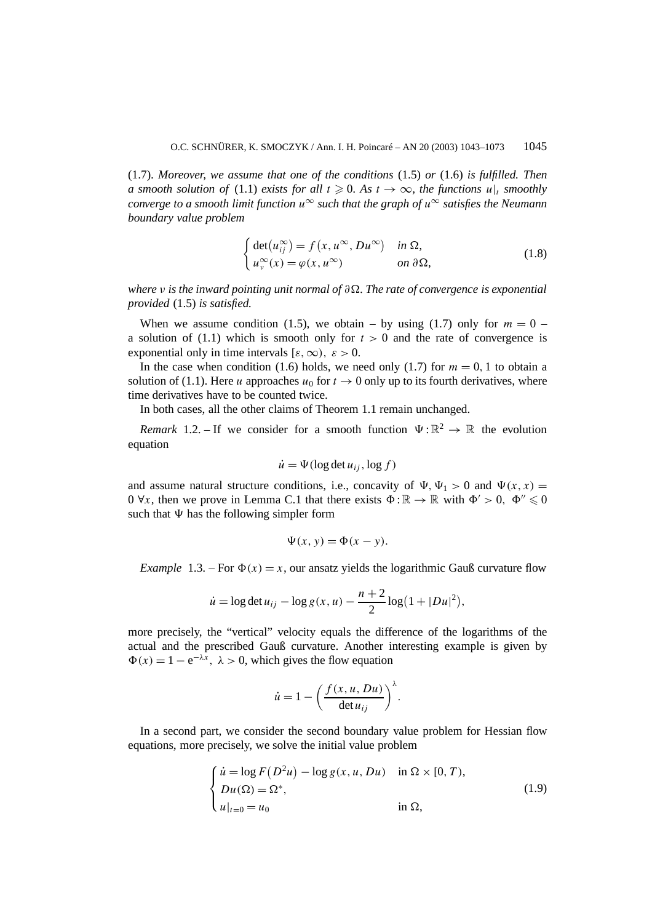(1.7). *Moreover, we assume that one of the conditions* (1.5) *or* (1.6) *is fulfilled. Then a smooth solution of* (1.1) *exists for all*  $t \ge 0$ *. As*  $t \to \infty$ *, the functions*  $u|_t$  *smoothly converge to a smooth limit function*  $u^{\infty}$  *such that the graph of*  $u^{\infty}$  *satisfies the Neumann boundary value problem*

$$
\begin{cases} \det(u_{ij}^{\infty}) = f(x, u^{\infty}, Du^{\infty}) & \text{in } \Omega, \\ u_{\nu}^{\infty}(x) = \varphi(x, u^{\infty}) & \text{on } \partial\Omega, \end{cases}
$$
 (1.8)

*where ν is the inward pointing unit normal of ∂. The rate of convergence is exponential provided* (1.5) *is satisfied.*

When we assume condition (1.5), we obtain – by using (1.7) only for  $m = 0$  – a solution of  $(1.1)$  which is smooth only for  $t > 0$  and the rate of convergence is exponential only in time intervals  $[\varepsilon, \infty)$ ,  $\varepsilon > 0$ .

In the case when condition (1.6) holds, we need only (1.7) for  $m = 0, 1$  to obtain a solution of (1.1). Here *u* approaches  $u_0$  for  $t \to 0$  only up to its fourth derivatives, where time derivatives have to be counted twice.

In both cases, all the other claims of Theorem 1.1 remain unchanged.

*Remark* 1.2. – If we consider for a smooth function  $\Psi : \mathbb{R}^2 \to \mathbb{R}$  the evolution equation

$$
\dot{u} = \Psi(\log \det u_{ij}, \log f)
$$

and assume natural structure conditions, i.e., concavity of  $\Psi$ ,  $\Psi$ <sub>1</sub> > 0 and  $\Psi$ (x, x) = 0  $\forall x$ , then we prove in Lemma C.1 that there exists  $\Phi : \mathbb{R} \to \mathbb{R}$  with  $\Phi' > 0$ ,  $\Phi'' \le 0$ such that  $\Psi$  has the following simpler form

$$
\Psi(x, y) = \Phi(x - y).
$$

*Example* 1.3. – For  $\Phi(x) = x$ , our ansatz yields the logarithmic Gauß curvature flow

$$
\dot{u} = \log \det u_{ij} - \log g(x, u) - \frac{n+2}{2} \log (1 + |Du|^2),
$$

more precisely, the "vertical" velocity equals the difference of the logarithms of the actual and the prescribed Gauß curvature. Another interesting example is given by  $\Phi(x) = 1 - e^{-\lambda x}$ ,  $\lambda > 0$ , which gives the flow equation

$$
\dot{u} = 1 - \left(\frac{f(x, u, Du)}{\det u_{ij}}\right)^{\lambda}.
$$

In a second part, we consider the second boundary value problem for Hessian flow equations, more precisely, we solve the initial value problem

$$
\begin{cases}\n\dot{u} = \log F(D^2u) - \log g(x, u, Du) & \text{in } \Omega \times [0, T), \\
Du(\Omega) = \Omega^*, \\
u|_{t=0} = u_0 & \text{in } \Omega,\n\end{cases}
$$
\n(1.9)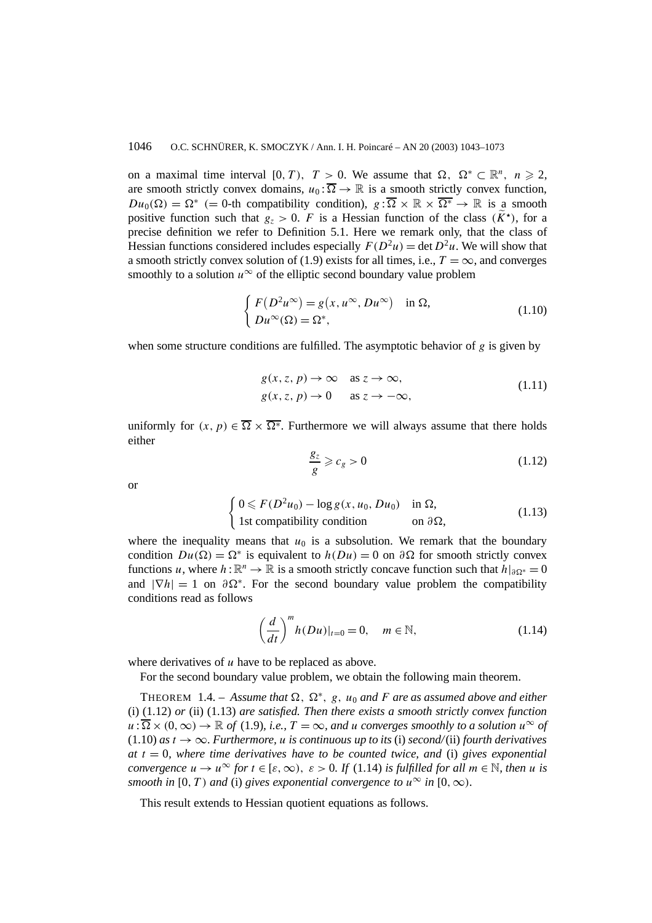on a maximal time interval [0, T),  $T > 0$ . We assume that  $\Omega$ ,  $\Omega^* \subset \mathbb{R}^n$ ,  $n \ge 2$ , are smooth strictly convex domains,  $u_0: \overline{\Omega} \to \mathbb{R}$  is a smooth strictly convex function,  $Du_0(\Omega) = \Omega^*$  (= 0-th compatibility condition),  $g: \overline{\Omega} \times \mathbb{R} \times \overline{\Omega^*} \to \mathbb{R}$  is a smooth positive function such that  $g_z > 0$ . *F* is a Hessian function of the class  $(\widetilde{K}^{\star})$ , for a precise definition we refer to Definition 5.1. Here we remark only, that the class of Hessian functions considered includes especially  $F(D^2u) = \det D^2u$ . We will show that a smooth strictly convex solution of (1.9) exists for all times, i.e.,  $T = \infty$ , and converges smoothly to a solution  $u^{\infty}$  of the elliptic second boundary value problem

$$
\begin{cases}\nF(D^2u^{\infty}) = g(x, u^{\infty}, Du^{\infty}) & \text{in } \Omega, \\
Du^{\infty}(\Omega) = \Omega^*,\n\end{cases}
$$
\n(1.10)

when some structure conditions are fulfilled. The asymptotic behavior of *g* is given by

$$
g(x, z, p) \to \infty \quad \text{as } z \to \infty,
$$
  
 
$$
g(x, z, p) \to 0 \quad \text{as } z \to -\infty,
$$
 (1.11)

uniformly for  $(x, p) \in \overline{\Omega} \times \overline{\Omega^*}$ . Furthermore we will always assume that there holds either

$$
\frac{g_z}{g} \geqslant c_g > 0 \tag{1.12}
$$

or

$$
\begin{cases} 0 \leq F(D^2 u_0) - \log g(x, u_0, Du_0) & \text{in } \Omega, \\ 1 \text{st compatibility condition} & \text{on } \partial \Omega, \end{cases}
$$
 (1.13)

where the inequality means that  $u_0$  is a subsolution. We remark that the boundary condition  $Du(\Omega) = \Omega^*$  is equivalent to  $h(Du) = 0$  on  $\partial\Omega$  for smooth strictly convex functions *u*, where  $h : \mathbb{R}^n \to \mathbb{R}$  is a smooth strictly concave function such that  $h|_{\partial\Omega^*} = 0$ and  $|\nabla h| = 1$  on  $\partial \Omega^*$ . For the second boundary value problem the compatibility conditions read as follows

$$
\left(\frac{d}{dt}\right)^m h(Du)|_{t=0} = 0, \quad m \in \mathbb{N},\tag{1.14}
$$

where derivatives of *u* have to be replaced as above.

For the second boundary value problem, we obtain the following main theorem.

THEOREM 1.4. – Assume that  $\Omega$ ,  $\Omega^*$ , g, u<sub>0</sub> and *F* are as assumed above and either (i) (1.12) *or* (ii) (1.13) *are satisfied. Then there exists a smooth strictly convex function*  $u:\overline{\Omega}\times(0,\infty)\to\mathbb{R}$  *of* (1.9)*, i.e.,*  $T=\infty$ *, and u converges smoothly to a solution*  $u^{\infty}$  *of*  $(1.10)$  *as*  $t \rightarrow \infty$ *. Furthermore, u is continuous up to its (i) second/(ii) fourth derivatives at t* = 0*, where time derivatives have to be counted twice, and* (i) *gives exponential convergence*  $u \to u^{\infty}$  *for*  $t \in [\varepsilon, \infty)$ ,  $\varepsilon > 0$ . If (1.14) *is fulfilled for all*  $m \in \mathbb{N}$ , *then u is smooth in* [0*, T*) *and* (i) *gives exponential convergence to*  $u^{\infty}$  *in* [0*,*  $\infty$ *)*.

This result extends to Hessian quotient equations as follows.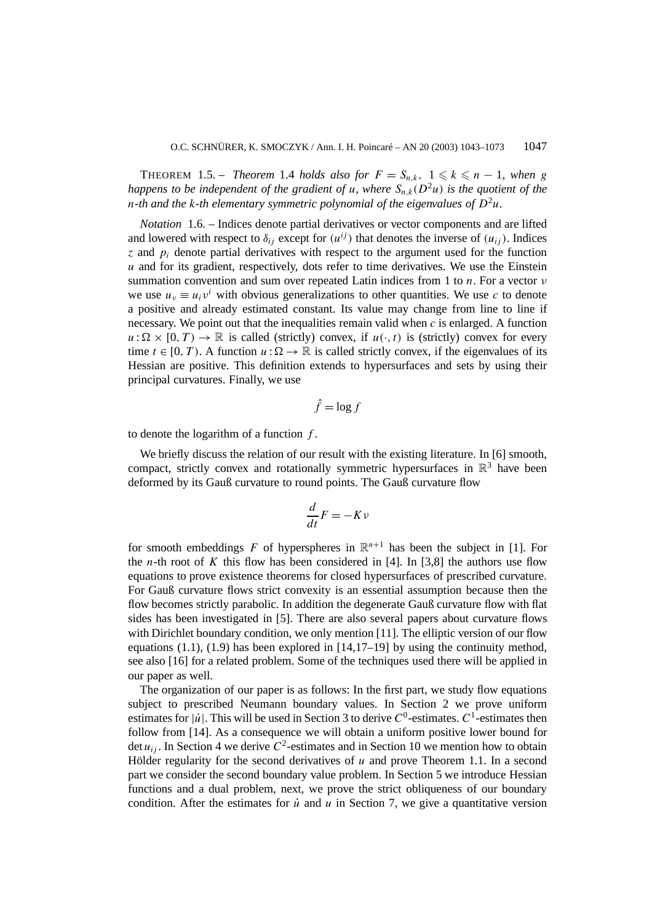**THEOREM** 1.5. – *Theorem* 1.4 *holds* also for  $F = S_{n,k}$ ,  $1 \leq k \leq n-1$ , when g *happens to be independent of the gradient of <i>u*, where  $S_n_k(D^2u)$  *is the quotient of the n*-th and the k-th elementary symmetric polynomial of the eigenvalues of  $D^2u$ .

*Notation* 1.6. – Indices denote partial derivatives or vector components and are lifted and lowered with respect to  $\delta_{ij}$  except for  $(u^{ij})$  that denotes the inverse of  $(u_{ij})$ . Indices *z* and *pi* denote partial derivatives with respect to the argument used for the function *u* and for its gradient, respectively, dots refer to time derivatives. We use the Einstein summation convention and sum over repeated Latin indices from 1 to *n*. For a vector *ν* we use  $u_y \equiv u_i v^i$  with obvious generalizations to other quantities. We use c to denote a positive and already estimated constant. Its value may change from line to line if necessary. We point out that the inequalities remain valid when *c* is enlarged. A function  $u : \Omega \times [0, T) \to \mathbb{R}$  is called (strictly) convex, if  $u(\cdot, t)$  is (strictly) convex for every time  $t \in [0, T)$ . A function  $u : \Omega \to \mathbb{R}$  is called strictly convex, if the eigenvalues of its Hessian are positive. This definition extends to hypersurfaces and sets by using their principal curvatures. Finally, we use

$$
\hat{f} = \log f
$$

to denote the logarithm of a function *f* .

We briefly discuss the relation of our result with the existing literature. In [6] smooth, compact, strictly convex and rotationally symmetric hypersurfaces in  $\mathbb{R}^3$  have been deformed by its Gauß curvature to round points. The Gauß curvature flow

$$
\frac{d}{dt}F = -Kv
$$

for smooth embeddings  $F$  of hyperspheres in  $\mathbb{R}^{n+1}$  has been the subject in [1]. For the *n*-th root of *K* this flow has been considered in [4]. In [3,8] the authors use flow equations to prove existence theorems for closed hypersurfaces of prescribed curvature. For Gauß curvature flows strict convexity is an essential assumption because then the flow becomes strictly parabolic. In addition the degenerate Gauß curvature flow with flat sides has been investigated in [5]. There are also several papers about curvature flows with Dirichlet boundary condition, we only mention [11]. The elliptic version of our flow equations  $(1.1)$ ,  $(1.9)$  has been explored in  $[14,17-19]$  by using the continuity method, see also [16] for a related problem. Some of the techniques used there will be applied in our paper as well.

The organization of our paper is as follows: In the first part, we study flow equations subject to prescribed Neumann boundary values. In Section 2 we prove uniform estimates for  $|\dot{u}|$ . This will be used in Section 3 to derive  $C^0$ -estimates.  $C^1$ -estimates then follow from [14]. As a consequence we will obtain a uniform positive lower bound for det  $u_{ij}$ . In Section 4 we derive  $C^2$ -estimates and in Section 10 we mention how to obtain Hölder regularity for the second derivatives of *u* and prove Theorem 1.1. In a second part we consider the second boundary value problem. In Section 5 we introduce Hessian functions and a dual problem, next, we prove the strict obliqueness of our boundary condition. After the estimates for  $\dot{u}$  and  $u$  in Section 7, we give a quantitative version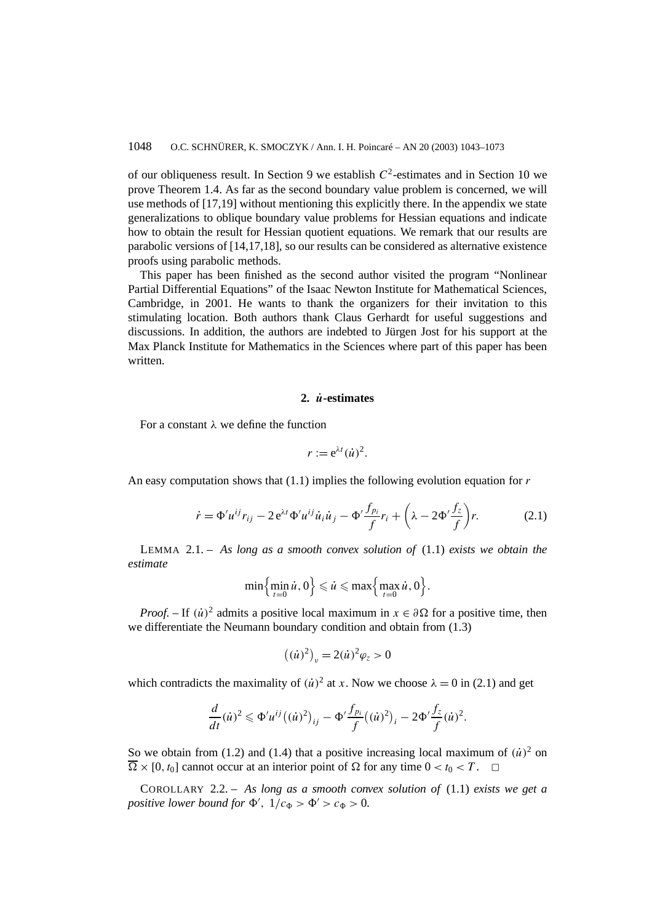of our obliqueness result. In Section 9 we establish  $C^2$ -estimates and in Section 10 we prove Theorem 1.4. As far as the second boundary value problem is concerned, we will use methods of [17,19] without mentioning this explicitly there. In the appendix we state generalizations to oblique boundary value problems for Hessian equations and indicate how to obtain the result for Hessian quotient equations. We remark that our results are parabolic versions of [14,17,18], so our results can be considered as alternative existence proofs using parabolic methods.

This paper has been finished as the second author visited the program "Nonlinear Partial Differential Equations" of the Isaac Newton Institute for Mathematical Sciences, Cambridge, in 2001. He wants to thank the organizers for their invitation to this stimulating location. Both authors thank Claus Gerhardt for useful suggestions and discussions. In addition, the authors are indebted to Jürgen Jost for his support at the Max Planck Institute for Mathematics in the Sciences where part of this paper has been written.

# **2.** *u***˙-estimates**

For a constant *λ* we define the function

$$
r := e^{\lambda t} (\dot{u})^2.
$$

An easy computation shows that (1.1) implies the following evolution equation for *r*

$$
\dot{r} = \Phi' u^{ij} r_{ij} - 2 e^{\lambda t} \Phi' u^{ij} \dot{u}_i \dot{u}_j - \Phi' \frac{f_{p_i}}{f} r_i + \left(\lambda - 2 \Phi' \frac{f_z}{f}\right) r. \tag{2.1}
$$

LEMMA 2.1. – *As long as a smooth convex solution of* (1.1) *exists we obtain the estimate*

$$
\min\Bigl\{\min_{t=0}\dot{u},0\Bigr\}\leqslant\dot{u}\leqslant\max\Bigl\{\max_{t=0}\dot{u},0\Bigr\}.
$$

*Proof.* – If  $(\dot{u})^2$  admits a positive local maximum in  $x \in \partial \Omega$  for a positive time, then we differentiate the Neumann boundary condition and obtain from (1.3)

$$
((\dot{u})^2)_{\nu} = 2(\dot{u})^2 \varphi_z > 0
$$

which contradicts the maximality of  $(ii)^2$  at *x*. Now we choose  $\lambda = 0$  in (2.1) and get

$$
\frac{d}{dt}(\dot{u})^2 \leq \Phi' u^{ij} ((\dot{u})^2)_{ij} - \Phi' \frac{f_{p_i}}{f} ((\dot{u})^2)_i - 2\Phi' \frac{f_z}{f} (\dot{u})^2.
$$

So we obtain from (1.2) and (1.4) that a positive increasing local maximum of  $(\dot{u})^2$  on  $\overline{\Omega} \times [0, t_0]$  cannot occur at an interior point of  $\Omega$  for any time  $0 < t_0 < T$ .  $\Box$ 

COROLLARY 2.2. – *As long as a smooth convex solution of* (1.1) *exists we get a positive lower bound for*  $\Phi'$ ,  $1/c_{\Phi} > \Phi' > c_{\Phi} > 0$ .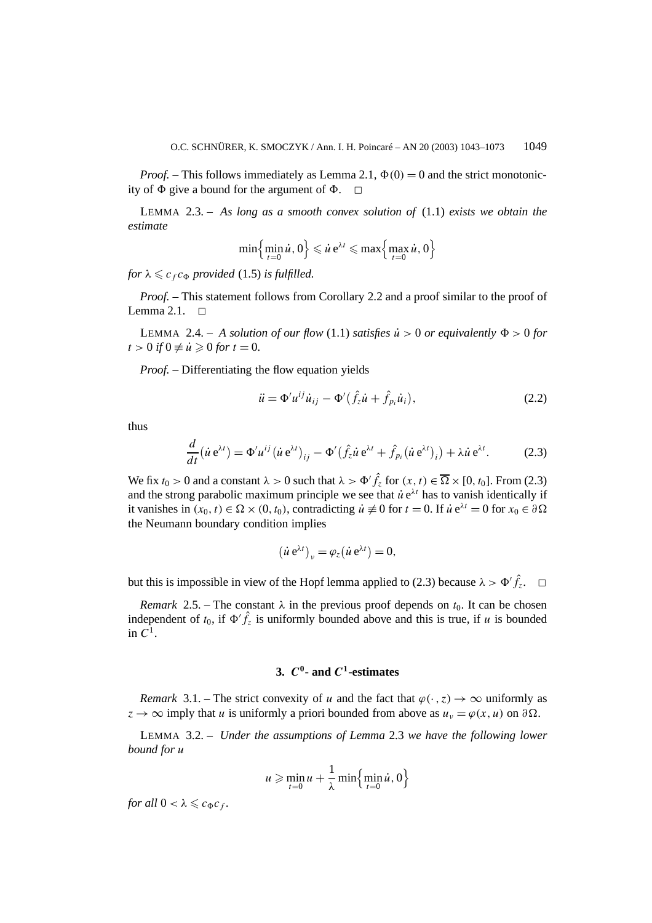*Proof.* – This follows immediately as Lemma 2.1,  $\Phi(0) = 0$  and the strict monotonicity of  $\Phi$  give a bound for the argument of  $\Phi$ .  $\Box$ 

LEMMA 2.3. – *As long as a smooth convex solution of* (1.1) *exists we obtain the estimate*

$$
\min\Bigl\{\min_{t=0} \dot{u}, 0\Bigr\} \leqslant \dot{u} e^{\lambda t} \leqslant \max\Bigl\{\max_{t=0} \dot{u}, 0\Bigr\}
$$

*for*  $\lambda \leqslant c_f c_{\Phi}$  *provided* (1.5) *is fulfilled.* 

*Proof.* – This statement follows from Corollary 2.2 and a proof similar to the proof of Lemma 2.1.  $\Box$ 

LEMMA 2.4. – A solution of our flow (1.1) satisfies  $\dot{u} > 0$  or equivalently  $\Phi > 0$  for  $t > 0$  *if*  $0 \neq \dot{u} \geq 0$  *for*  $t = 0$ *.* 

*Proof. –* Differentiating the flow equation yields

$$
\ddot{u} = \Phi' u^{ij} \dot{u}_{ij} - \Phi' (\hat{f}_z \dot{u} + \hat{f}_{p_i} \dot{u}_i),
$$
\n(2.2)

thus

$$
\frac{d}{dt}(\dot{u}\,\mathrm{e}^{\lambda t}) = \Phi' u^{ij} (\dot{u}\,\mathrm{e}^{\lambda t})_{ij} - \Phi'(\hat{f}_z \dot{u}\,\mathrm{e}^{\lambda t} + \hat{f}_{pi}(\dot{u}\,\mathrm{e}^{\lambda t})_i) + \lambda \dot{u}\,\mathrm{e}^{\lambda t}.\tag{2.3}
$$

We fix  $t_0 > 0$  and a constant  $\lambda > 0$  such that  $\lambda > \Phi' \hat{f}_z$  for  $(x, t) \in \overline{\Omega} \times [0, t_0]$ . From (2.3) and the strong parabolic maximum principle we see that  $\dot{u}e^{\lambda t}$  has to vanish identically if it vanishes in  $(x_0, t) \in \Omega \times (0, t_0)$ , contradicting  $\dot{u} \neq 0$  for  $t = 0$ . If  $\dot{u} e^{\lambda t} = 0$  for  $x_0 \in \partial \Omega$ the Neumann boundary condition implies

$$
(\dot{u} e^{\lambda t})_{\nu} = \varphi_z (\dot{u} e^{\lambda t}) = 0,
$$

but this is impossible in view of the Hopf lemma applied to (2.3) because  $\lambda > \Phi' \hat{f}_z$ .  $\Box$ 

*Remark* 2.5. – The constant  $\lambda$  in the previous proof depends on  $t_0$ . It can be chosen independent of  $t_0$ , if  $\Phi' \hat{f}_z$  is uniformly bounded above and this is true, if *u* is bounded in  $C^1$ .

# **3.** *C***0- and** *C***1-estimates**

*Remark* 3.1. – The strict convexity of *u* and the fact that  $\varphi(\cdot, z) \to \infty$  uniformly as  $z \to \infty$  imply that *u* is uniformly a priori bounded from above as  $u_y = \varphi(x, u)$  on  $\partial \Omega$ .

LEMMA 3.2. – *Under the assumptions of Lemma* 2.3 *we have the following lower bound for u*

$$
u \geqslant \min_{t=0} u + \frac{1}{\lambda} \min \left\{ \min_{t=0} \dot{u}, 0 \right\}
$$

*for all*  $0 < \lambda \leqslant c_{\Phi}c_f$ .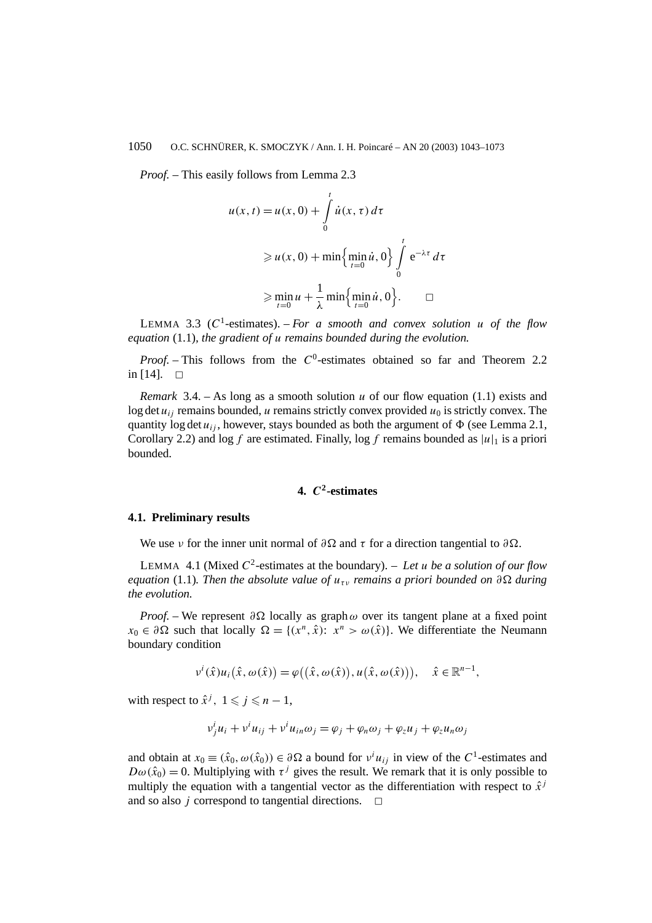*Proof. –* This easily follows from Lemma 2.3

$$
u(x, t) = u(x, 0) + \int_{0}^{t} \dot{u}(x, \tau) d\tau
$$
  
\n
$$
\geq u(x, 0) + \min\left\{\min_{t=0} \dot{u}, 0\right\} \int_{0}^{t} e^{-\lambda \tau} d\tau
$$
  
\n
$$
\geq \min_{t=0} u + \frac{1}{\lambda} \min\left\{\min_{t=0} \dot{u}, 0\right\}. \square
$$

LEMMA 3.3 ( $C^1$ -estimates). – *For a smooth and convex solution u of the flow equation* (1.1)*, the gradient of u remains bounded during the evolution.*

*Proof.* – This follows from the C<sup>0</sup>-estimates obtained so far and Theorem 2.2 in  $[14]$ .  $\Box$ 

*Remark* 3.4. – As long as a smooth solution *u* of our flow equation (1.1) exists and log det  $u_{ij}$  remains bounded, *u* remains strictly convex provided  $u_0$  is strictly convex. The quantity log det  $u_{ij}$ , however, stays bounded as both the argument of  $\Phi$  (see Lemma 2.1, Corollary 2.2) and log f are estimated. Finally, log f remains bounded as  $|u|_1$  is a priori bounded.

# **4.** *C***2-estimates**

### **4.1. Preliminary results**

We use *ν* for the inner unit normal of  $\partial \Omega$  and  $\tau$  for a direction tangential to  $\partial \Omega$ .

LEMMA 4.1 (Mixed  $C^2$ -estimates at the boundary). – Let u be a solution of our flow *equation* (1.1). Then the absolute value of  $u_{\tau\nu}$  remains a priori bounded on  $\partial\Omega$  during *the evolution.*

*Proof.* – We represent  $\partial \Omega$  locally as graph  $\omega$  over its tangent plane at a fixed point  $x_0 \in \partial \Omega$  such that locally  $\Omega = \{(x^n, \hat{x}): x^n > \omega(\hat{x})\}$ . We differentiate the Neumann boundary condition

$$
v^{i}(\hat{x})u_{i}(\hat{x}, \omega(\hat{x})) = \varphi((\hat{x}, \omega(\hat{x})), u(\hat{x}, \omega(\hat{x}))), \quad \hat{x} \in \mathbb{R}^{n-1},
$$

with respect to  $\hat{x}^j$ ,  $1 \leq j \leq n-1$ ,

$$
v_j^i u_i + v^i u_{ij} + v^i u_{in} \omega_j = \varphi_j + \varphi_n \omega_j + \varphi_z u_j + \varphi_z u_n \omega_j
$$

and obtain at  $x_0 \equiv (\hat{x}_0, \omega(\hat{x}_0)) \in \partial \Omega$  a bound for  $v^i u_{ij}$  in view of the C<sup>1</sup>-estimates and  $D\omega(\hat{x}_0) = 0$ . Multiplying with  $\tau^j$  gives the result. We remark that it is only possible to multiply the equation with a tangential vector as the differentiation with respect to  $\hat{x}^j$ and so also  $j$  correspond to tangential directions.  $\Box$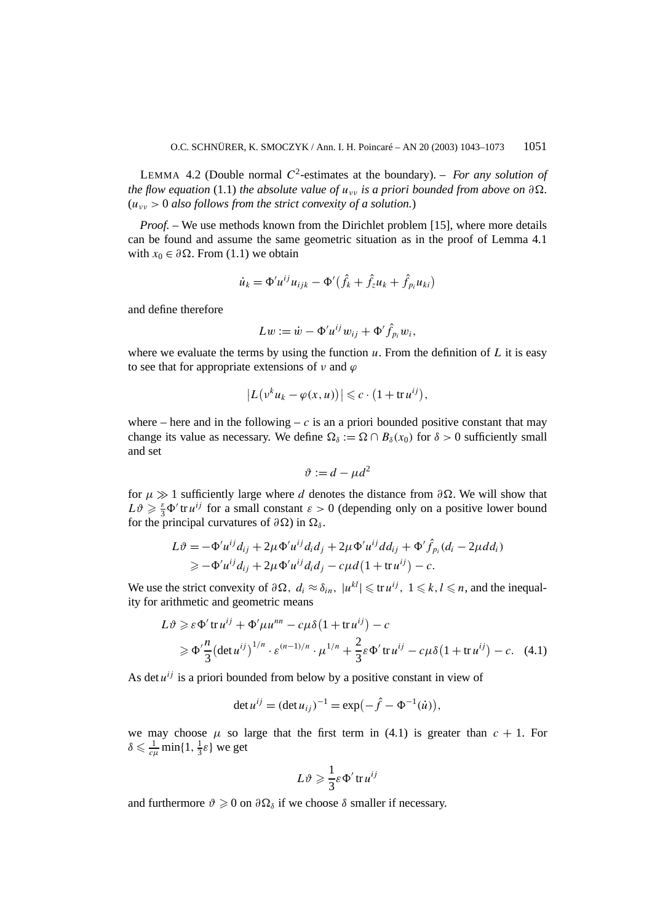LEMMA 4.2 (Double normal  $C^2$ -estimates at the boundary). – *For any solution of the flow equation* (1.1) *the absolute value of*  $u_{yy}$  *is a priori bounded from above on*  $\partial \Omega$ *.* (*uνν >* 0 *also follows from the strict convexity of a solution.*)

*Proof. –* We use methods known from the Dirichlet problem [15], where more details can be found and assume the same geometric situation as in the proof of Lemma 4.1 with  $x_0 \in \partial \Omega$ . From (1.1) we obtain

$$
\dot{u}_k = \Phi' u^{ij} u_{ijk} - \Phi'(\hat{f}_k + \hat{f}_z u_k + \hat{f}_{p_i} u_{ki})
$$

and define therefore

$$
Lw := \dot{w} - \Phi' u^{ij} w_{ij} + \Phi' \hat{f}_{p_i} w_i,
$$

where we evaluate the terms by using the function  $u$ . From the definition of  $L$  it is easy to see that for appropriate extensions of  $\nu$  and  $\varphi$ 

$$
\left|L(v^ku_k-\varphi(x,u))\right|\leqslant c\cdot\big(1+\operatorname{tr} u^{ij}\big),
$$

where – here and in the following –  $c$  is an a priori bounded positive constant that may change its value as necessary. We define  $\Omega_{\delta} := \Omega \cap B_{\delta}(x_0)$  for  $\delta > 0$  sufficiently small and set

$$
\vartheta := d - \mu d^2
$$

for  $\mu \gg 1$  sufficiently large where *d* denotes the distance from  $\partial \Omega$ . We will show that  $L\vartheta \geq \frac{\varepsilon}{3}\Phi'$  *tr*  $u^{ij}$  *for a small constant*  $\varepsilon > 0$  *(depending only on a positive lower bound* for the principal curvatures of  $\partial\Omega$ ) in  $\Omega_{\delta}$ .

$$
L\vartheta = -\Phi'u^{ij}d_{ij} + 2\mu\Phi'u^{ij}d_id_j + 2\mu\Phi'u^{ij}dd_{ij} + \Phi'\hat{f}_{pi}(d_i - 2\mu dd_i)
$$
  
\n
$$
\geq -\Phi'u^{ij}d_{ij} + 2\mu\Phi'u^{ij}d_id_j - c\mu d(1 + \text{tr}\,u^{ij}) - c.
$$

We use the strict convexity of  $\partial \Omega$ ,  $d_i \approx \delta_{in}$ ,  $|u^{kl}| \leq \text{tr } u^{ij}$ ,  $1 \leq k, l \leq n$ , and the inequality for arithmetic and geometric means

$$
L\vartheta \geq \varepsilon \Phi' \operatorname{tr} u^{ij} + \Phi' \mu u^{nn} - c\mu \delta (1 + \operatorname{tr} u^{ij}) - c
$$
  
 
$$
\geq \Phi' \frac{n}{3} (\det u^{ij})^{1/n} \cdot \varepsilon^{(n-1)/n} \cdot \mu^{1/n} + \frac{2}{3} \varepsilon \Phi' \operatorname{tr} u^{ij} - c\mu \delta (1 + \operatorname{tr} u^{ij}) - c. \quad (4.1)
$$

As det  $u^{ij}$  is a priori bounded from below by a positive constant in view of

$$
\det u^{ij} = (\det u_{ij})^{-1} = \exp(-\hat{f} - \Phi^{-1}(\dot{u})),
$$

we may choose  $\mu$  so large that the first term in (4.1) is greater than  $c + 1$ . For  $\delta \leq \frac{1}{c\mu} \min\{1, \frac{1}{3}\varepsilon\}$  we get

$$
L\vartheta \geqslant \frac{1}{3}\varepsilon \Phi' \operatorname{tr} u^{ij}
$$

and furthermore  $\vartheta \geq 0$  on  $\partial \Omega_{\delta}$  if we choose  $\delta$  smaller if necessary.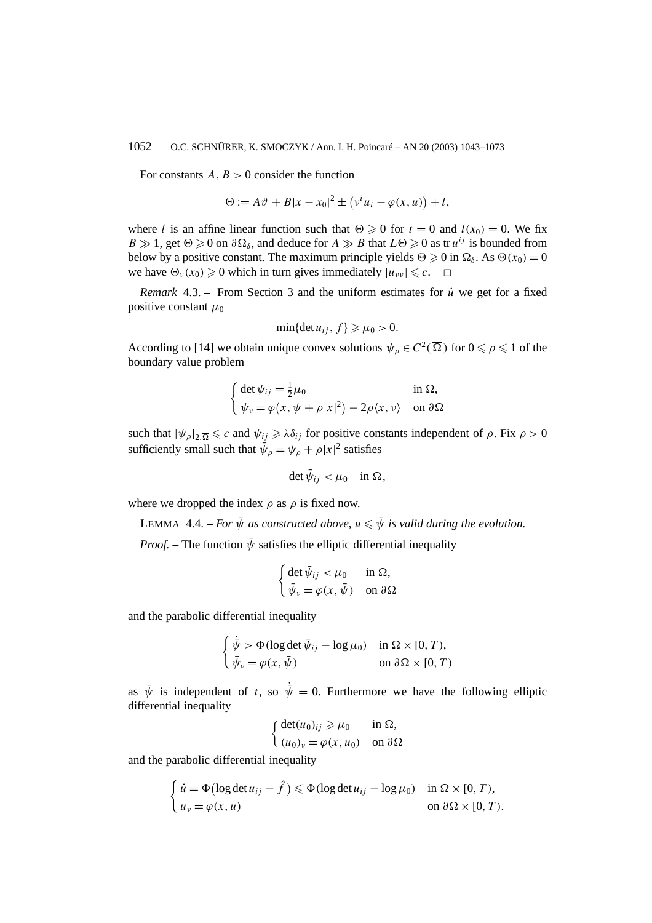For constants  $A, B > 0$  consider the function

$$
\Theta := A\vartheta + B|x - x_0|^2 \pm (v^i u_i - \varphi(x, u)) + l,
$$

where *l* is an affine linear function such that  $\Theta \geq 0$  for  $t = 0$  and  $l(x_0) = 0$ . We fix  $B \gg 1$ , get  $\Theta \ge 0$  on  $\partial \Omega_{\delta}$ , and deduce for  $A \gg B$  that  $L\Theta \ge 0$  as tr  $u^{ij}$  is bounded from below by a positive constant. The maximum principle yields  $\Theta \geq 0$  in  $\Omega_{\delta}$ . As  $\Theta(x_0) = 0$ we have  $\Theta_{\nu}(x_0) \ge 0$  which in turn gives immediately  $|u_{\nu\nu}| \le c$ .  $\Box$ 

*Remark* 4.3. – From Section 3 and the uniform estimates for *u*˙ we get for a fixed positive constant  $\mu_0$ 

$$
\min\{\det u_{ij}, f\} \geq \mu_0 > 0.
$$

According to [14] we obtain unique convex solutions  $\psi_{\rho} \in C^2(\overline{\Omega})$  for  $0 \le \rho \le 1$  of the boundary value problem

$$
\begin{cases} \det \psi_{ij} = \frac{1}{2}\mu_0 & \text{in } \Omega, \\ \psi_{\nu} = \varphi(x, \psi + \rho |x|^2) - 2\rho \langle x, \nu \rangle & \text{on } \partial \Omega \end{cases}
$$

such that  $|\psi_{\rho}|_{2,\overline{\Omega}} \leq c$  and  $\psi_{ij} \geq \lambda \delta_{ij}$  for positive constants independent of  $\rho$ . Fix  $\rho > 0$ sufficiently small such that  $\bar{\psi}_{\rho} = \psi_{\rho} + \rho |x|^2$  satisfies

$$
\det \bar{\psi}_{ij} < \mu_0 \quad \text{in } \Omega,
$$

where we dropped the index  $\rho$  as  $\rho$  is fixed now.

LEMMA 4.4. – *For*  $\bar{\psi}$  as constructed above,  $u \leq \bar{\psi}$  is valid during the evolution.

*Proof.* – The function  $\bar{\psi}$  satisfies the elliptic differential inequality

$$
\begin{cases} \det \bar{\psi}_{ij} < \mu_0 \quad \text{in } \Omega, \\ \bar{\psi}_v = \varphi(x, \bar{\psi}) & \text{on } \partial \Omega \end{cases}
$$

and the parabolic differential inequality

$$
\begin{cases} \dot{\bar{\psi}} > \Phi(\log \det \bar{\psi}_{ij} - \log \mu_0) & \text{in } \Omega \times [0, T), \\ \bar{\psi}_{\nu} = \varphi(x, \bar{\psi}) & \text{on } \partial \Omega \times [0, T) \end{cases}
$$

as  $\bar{\psi}$  is independent of *t*, so  $\dot{\bar{\psi}} = 0$ . Furthermore we have the following elliptic differential inequality

$$
\begin{cases} \det(u_0)_{ij} \ge \mu_0 & \text{in } \Omega, \\ (u_0)_v = \varphi(x, u_0) & \text{on } \partial \Omega \end{cases}
$$

and the parabolic differential inequality

$$
\begin{cases} \n\dot{u} = \Phi(\log \det u_{ij} - \hat{f}) \leq \Phi(\log \det u_{ij} - \log \mu_0) & \text{in } \Omega \times [0, T), \\ \n u_v = \varphi(x, u) & \text{on } \partial \Omega \times [0, T). \n\end{cases}
$$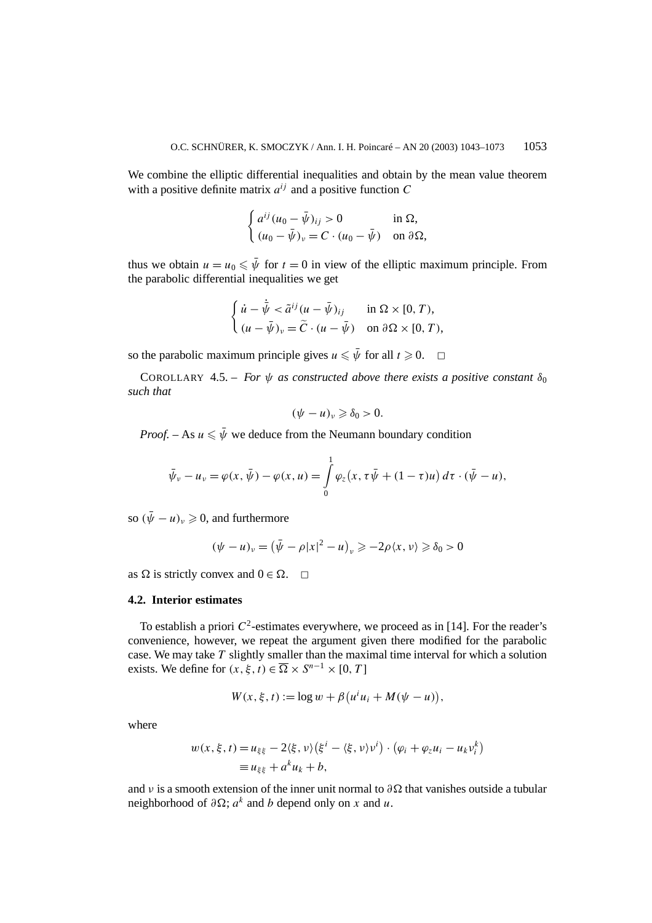We combine the elliptic differential inequalities and obtain by the mean value theorem with a positive definite matrix  $a^{ij}$  and a positive function  $C$ 

$$
\begin{cases} a^{ij}(u_0 - \bar{\psi})_{ij} > 0 & \text{in } \Omega, \\ (u_0 - \bar{\psi})_v = C \cdot (u_0 - \bar{\psi}) & \text{on } \partial \Omega, \end{cases}
$$

thus we obtain  $u = u_0 \leq \bar{\psi}$  for  $t = 0$  in view of the elliptic maximum principle. From the parabolic differential inequalities we get

$$
\begin{cases} \n\dot{u} - \dot{\bar{\psi}} < \tilde{a}^{ij} (u - \bar{\psi})_{ij} \quad \text{in } \Omega \times [0, T), \\ \n(u - \bar{\psi})_v = \tilde{C} \cdot (u - \bar{\psi}) & \text{on } \partial \Omega \times [0, T), \n\end{cases}
$$

so the parabolic maximum principle gives  $u \leq \bar{\psi}$  for all  $t \geq 0$ .  $\Box$ 

COROLLARY 4.5. – *For*  $\psi$  *as constructed above there exists a positive constant*  $\delta_0$ *such that*

$$
(\psi - u)_v \geq \delta_0 > 0.
$$

*Proof.* – As  $u \leq \bar{\psi}$  we deduce from the Neumann boundary condition

$$
\bar{\psi}_{\nu} - u_{\nu} = \varphi(x, \bar{\psi}) - \varphi(x, u) = \int_{0}^{1} \varphi_{z}(x, \tau \bar{\psi} + (1 - \tau)u) d\tau \cdot (\bar{\psi} - u),
$$

so  $(\bar{\psi} - u)_v \geq 0$ , and furthermore

$$
(\psi - u)_v = (\bar{\psi} - \rho |x|^2 - u)_v \ge -2\rho \langle x, v \rangle \ge \delta_0 > 0
$$

as  $\Omega$  is strictly convex and  $0 \in \Omega$ .  $\Box$ 

### **4.2. Interior estimates**

To establish a priori  $C^2$ -estimates everywhere, we proceed as in [14]. For the reader's convenience, however, we repeat the argument given there modified for the parabolic case. We may take *T* slightly smaller than the maximal time interval for which a solution exists. We define for  $(x, \xi, t) \in \overline{\Omega} \times S^{n-1} \times [0, T]$ 

$$
W(x, \xi, t) := \log w + \beta (u^i u_i + M(\psi - u)),
$$

where

$$
w(x,\xi,t) = u_{\xi\xi} - 2\langle \xi, v \rangle \left( \xi^i - \langle \xi, v \rangle v^i \right) \cdot \left( \varphi_i + \varphi_z u_i - u_k v_i^k \right)
$$
  
=  $u_{\xi\xi} + a^k u_k + b$ ,

and *v* is a smooth extension of the inner unit normal to  $\partial \Omega$  that vanishes outside a tubular neighborhood of  $\partial \Omega$ ;  $a^k$  and *b* depend only on *x* and *u*.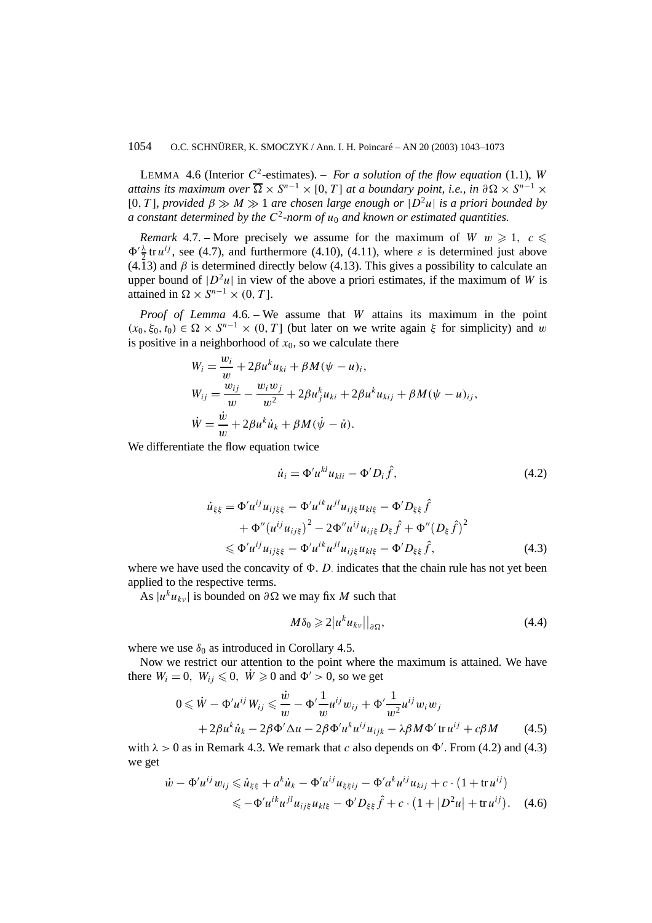LEMMA 4.6 (Interior  $C^2$ -estimates). – *For a solution of the flow equation* (1.1), *W attains its maximum over*  $\overline{\Omega} \times S^{n-1} \times [0, T]$  *at a boundary point, i.e., in*  $\partial \Omega \times S^{n-1} \times$ [0*, T* ]*, provided β M* 1 *are chosen large enough or* |*D*<sup>2</sup>*u*| *is a priori bounded by a constant determined by the*  $C^2$ -norm of  $u_0$  *and known or estimated quantities.* 

*Remark* 4.7. – More precisely we assume for the maximum of *W*  $w \ge 1$ ,  $c \le$  $\Phi' \frac{\lambda}{2}$  tr *u<sup>ij</sup>*, see (4.7), and furthermore (4.10), (4.11), where *ε* is determined just above (4.13) and  $\beta$  is determined directly below (4.13). This gives a possibility to calculate an upper bound of  $|D^2u|$  in view of the above a priori estimates, if the maximum of *W* is attained in  $\Omega \times S^{n-1} \times (0, T]$ .

*Proof of Lemma* 4.6*. –* We assume that *W* attains its maximum in the point  $(x_0, \xi_0, t_0) \in \Omega \times S^{n-1} \times (0, T]$  (but later on we write again  $\xi$  for simplicity) and *w* is positive in a neighborhood of  $x_0$ , so we calculate there

$$
W_i = \frac{w_i}{w} + 2\beta u^k u_{ki} + \beta M(\psi - u)_i,
$$
  
\n
$$
W_{ij} = \frac{w_{ij}}{w} - \frac{w_i w_j}{w^2} + 2\beta u^k u_{ki} + 2\beta u^k u_{kij} + \beta M(\psi - u)_{ij},
$$
  
\n
$$
\dot{W} = \frac{\dot{w}}{w} + 2\beta u^k \dot{u}_k + \beta M(\dot{\psi} - \dot{u}).
$$

We differentiate the flow equation twice

$$
\dot{u}_i = \Phi' u^{kl} u_{kli} - \Phi' D_i \hat{f}, \qquad (4.2)
$$

$$
\dot{u}_{\xi\xi} = \Phi' u^{ij} u_{ij\xi\xi} - \Phi' u^{ik} u^{jl} u_{ij\xi} u_{kl\xi} - \Phi' D_{\xi\xi} \hat{f} \n+ \Phi'' (u^{ij} u_{ij\xi})^2 - 2\Phi'' u^{ij} u_{ij\xi} D_{\xi} \hat{f} + \Phi'' (D_{\xi} \hat{f})^2 \n\leq \Phi' u^{ij} u_{ij\xi\xi} - \Phi' u^{ik} u^{jl} u_{ij\xi} u_{kl\xi} - \Phi' D_{\xi\xi} \hat{f},
$$
\n(4.3)

where we have used the concavity of  $\Phi$ . *D* indicates that the chain rule has not yet been applied to the respective terms.

As  $|u^k u_{k\nu}|$  is bounded on  $\partial \Omega$  we may fix *M* such that

$$
M\delta_0 \geqslant 2|u^k u_{k\nu}||_{\partial\Omega},\tag{4.4}
$$

where we use  $\delta_0$  as introduced in Corollary 4.5.

Now we restrict our attention to the point where the maximum is attained. We have there  $W_i = 0$ ,  $W_{ij} \leq 0$ ,  $\dot{W} \geq 0$  and  $\Phi' > 0$ , so we get

$$
0 \leq \dot{W} - \Phi' u^{ij} W_{ij} \leq \frac{\dot{w}}{w} - \Phi' \frac{1}{w} u^{ij} w_{ij} + \Phi' \frac{1}{w^2} u^{ij} w_i w_j
$$
  
+  $2\beta u^k \dot{u}_k - 2\beta \Phi' \Delta u - 2\beta \Phi' u^k u^{ij} u_{ijk} - \lambda \beta M \Phi' \operatorname{tr} u^{ij} + c\beta M$  (4.5)

with  $\lambda > 0$  as in Remark 4.3. We remark that *c* also depends on  $\Phi'$ . From (4.2) and (4.3) we get

$$
\dot{w} - \Phi' u^{ij} w_{ij} \leq \dot{u}_{\xi\xi} + a^k \dot{u}_k - \Phi' u^{ij} u_{\xi\xi ij} - \Phi' a^k u^{ij} u_{kij} + c \cdot (1 + \text{tr } u^{ij})
$$
  

$$
\leq -\Phi' u^{ik} u^{jl} u_{ij\xi} u_{kl\xi} - \Phi' D_{\xi\xi} \hat{f} + c \cdot (1 + |D^2 u| + \text{tr } u^{ij}). \quad (4.6)
$$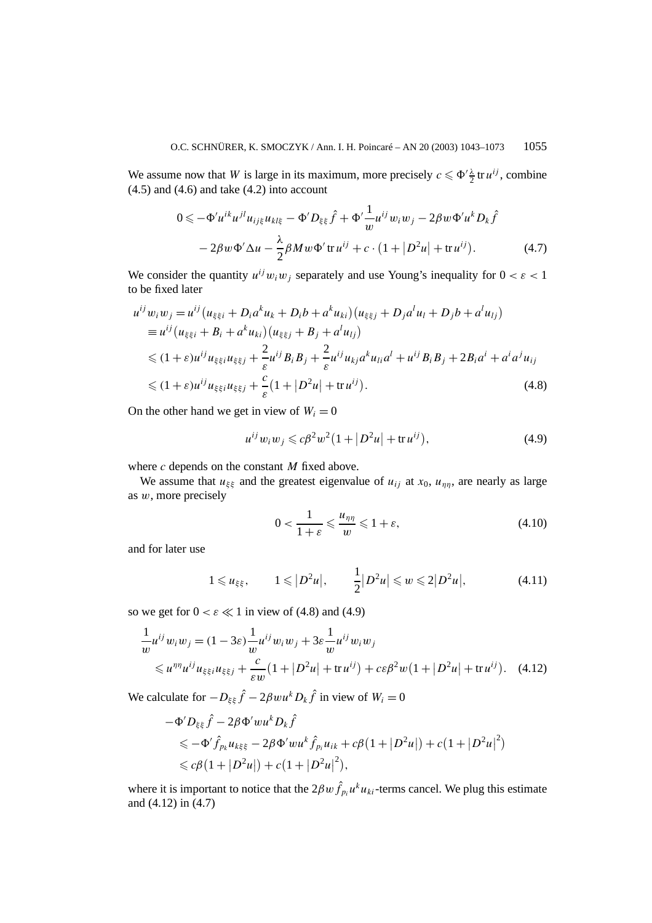We assume now that *W* is large in its maximum, more precisely  $c \leq \Phi' \frac{\lambda}{2} \text{tr } u^{ij}$ , combine  $(4.5)$  and  $(4.6)$  and take  $(4.2)$  into account

$$
0 \leqslant -\Phi'u^{ik}u^{jl}u_{ij\xi}u_{kl\xi} - \Phi'D_{\xi\xi}\hat{f} + \Phi'\frac{1}{w}u^{ij}w_iw_j - 2\beta w\Phi'u^kD_k\hat{f}
$$

$$
-2\beta w\Phi'\Delta u - \frac{\lambda}{2}\beta Mw\Phi'\operatorname{tr} u^{ij} + c \cdot (1 + |D^2u| + \operatorname{tr} u^{ij}). \tag{4.7}
$$

We consider the quantity  $u^{ij}w_iw_j$  separately and use Young's inequality for  $0 < \varepsilon < 1$ to be fixed later

$$
u^{ij}w_i w_j = u^{ij} (u_{\xi\xi i} + D_i a^k u_k + D_i b + a^k u_{ki}) (u_{\xi\xi j} + D_j a^l u_l + D_j b + a^l u_{lj})
$$
  
\n
$$
\equiv u^{ij} (u_{\xi\xi i} + B_i + a^k u_{ki}) (u_{\xi\xi j} + B_j + a^l u_{lj})
$$
  
\n
$$
\leq (1 + \varepsilon) u^{ij} u_{\xi\xi i} u_{\xi\xi j} + \frac{2}{\varepsilon} u^{ij} B_i B_j + \frac{2}{\varepsilon} u^{ij} u_{kj} a^k u_{li} a^l + u^{ij} B_i B_j + 2B_i a^i + a^i a^j u_{ij}
$$
  
\n
$$
\leq (1 + \varepsilon) u^{ij} u_{\xi\xi i} u_{\xi\xi j} + \frac{c}{\varepsilon} (1 + |D^2 u| + \text{tr} u^{ij}).
$$
\n(4.8)

On the other hand we get in view of  $W_i = 0$ 

$$
u^{ij}w_iw_j \leq c\beta^2 w^2 (1+|D^2u|+ \text{tr}\, u^{ij}),\tag{4.9}
$$

where *c* depends on the constant *M* fixed above.

We assume that  $u_{\xi\xi}$  and the greatest eigenvalue of  $u_{ij}$  at  $x_0$ ,  $u_{\eta\eta}$ , are nearly as large as *w*, more precisely

$$
0 < \frac{1}{1+\varepsilon} \leqslant \frac{u_{\eta\eta}}{w} \leqslant 1+\varepsilon,\tag{4.10}
$$

and for later use

$$
1 \leq u_{\xi\xi}, \qquad 1 \leq |D^2 u|, \qquad \frac{1}{2}|D^2 u| \leq w \leq 2|D^2 u|, \tag{4.11}
$$

so we get for  $0 < \varepsilon \ll 1$  in view of (4.8) and (4.9)

$$
\frac{1}{w}u^{ij}w_i w_j = (1 - 3\varepsilon)\frac{1}{w}u^{ij}w_i w_j + 3\varepsilon\frac{1}{w}u^{ij}w_i w_j
$$
\n
$$
\leq u^{\eta\eta}u^{ij}u_{\xi\xi i}u_{\xi\xi j} + \frac{c}{\varepsilon w}(1 + |D^2u| + \text{tr}u^{ij}) + c\varepsilon\beta^2 w(1 + |D^2u| + \text{tr}u^{ij}). \quad (4.12)
$$

We calculate for  $-D_{\xi\xi}\hat{f} - 2\beta w u^k D_k\hat{f}$  in view of  $W_i = 0$ 

$$
-\Phi' D_{\xi\xi} \hat{f} - 2\beta \Phi' w u^k D_k \hat{f}
$$
  
\$\leq -\Phi' \hat{f}\_{p\_k} u\_{k\xi\xi} - 2\beta \Phi' w u^k \hat{f}\_{p\_i} u\_{ik} + c\beta (1 + |D^2 u|) + c(1 + |D^2 u|^2)\$  
\$\leq c\beta (1 + |D^2 u|) + c(1 + |D^2 u|^2),\$

where it is important to notice that the  $2\beta w \hat{f}_{p_i} u^k u_{ki}$ -terms cancel. We plug this estimate and (4.12) in (4.7)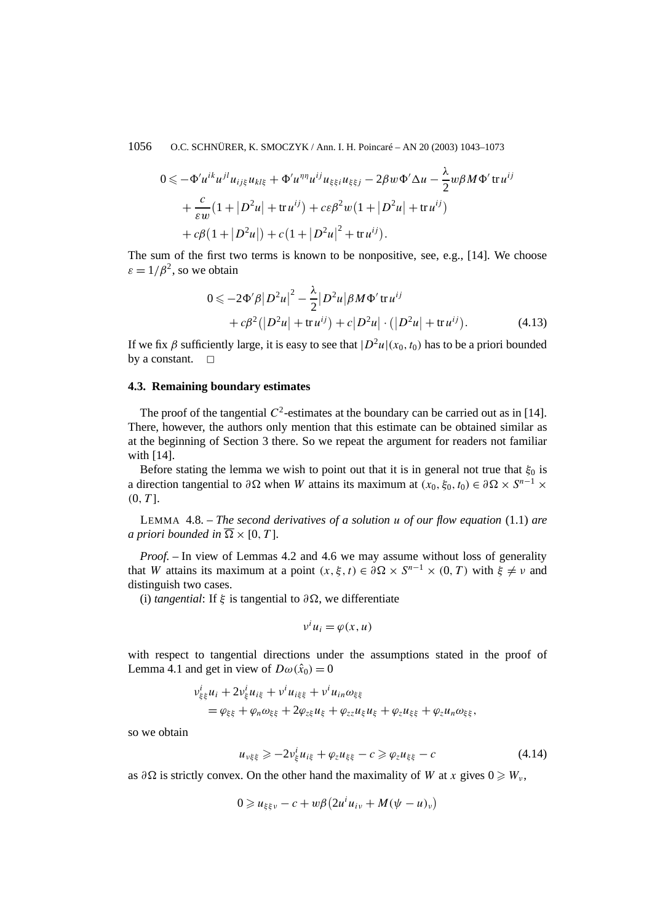1056 O.C. SCHNÜRER, K. SMOCZYK / Ann. I. H. Poincaré – AN 20 (2003) 1043–1073

$$
0 \leq -\Phi' u^{ik} u^{jl} u_{ij\xi} u_{kl\xi} + \Phi' u^{\eta \eta} u^{ij} u_{\xi\xi i} u_{\xi\xi j} - 2\beta w \Phi' \Delta u - \frac{\lambda}{2} w \beta M \Phi' \operatorname{tr} u^{ij} + \frac{c}{\varepsilon w} (1 + |D^2 u| + \operatorname{tr} u^{ij}) + c \varepsilon \beta^2 w (1 + |D^2 u| + \operatorname{tr} u^{ij}) + c\beta (1 + |D^2 u|) + c (1 + |D^2 u|^2 + \operatorname{tr} u^{ij}).
$$

The sum of the first two terms is known to be nonpositive, see, e.g., [14]. We choose  $\varepsilon = 1/\beta^2$ , so we obtain

$$
0 \leq -2\Phi' \beta |D^2 u|^2 - \frac{\lambda}{2} |D^2 u| \beta M \Phi' \operatorname{tr} u^{ij} + c\beta^2 (|D^2 u| + \operatorname{tr} u^{ij}) + c|D^2 u| \cdot (|D^2 u| + \operatorname{tr} u^{ij}).
$$
 (4.13)

If we fix *β* sufficiently large, it is easy to see that  $|D^2u|(x_0, t_0)$  has to be a priori bounded by a constant.  $\square$ 

## **4.3. Remaining boundary estimates**

The proof of the tangential  $C^2$ -estimates at the boundary can be carried out as in [14]. There, however, the authors only mention that this estimate can be obtained similar as at the beginning of Section 3 there. So we repeat the argument for readers not familiar with [14].

Before stating the lemma we wish to point out that it is in general not true that  $\xi_0$  is a direction tangential to  $\partial \Omega$  when *W* attains its maximum at  $(x_0, \xi_0, t_0) \in \partial \Omega \times S^{n-1} \times$ *(*0*, T* ].

LEMMA 4.8. – *The second derivatives of a solution u of our flow equation* (1.1) *are a priori bounded in*  $\overline{\Omega} \times [0, T]$ *.* 

*Proof. –* In view of Lemmas 4.2 and 4.6 we may assume without loss of generality that *W* attains its maximum at a point  $(x, \xi, t) \in \partial \Omega \times S^{n-1} \times (0, T)$  with  $\xi \neq \nu$  and distinguish two cases.

(i) *tangential*: If  $\xi$  is tangential to  $\partial \Omega$ , we differentiate

$$
v^i u_i = \varphi(x, u)
$$

with respect to tangential directions under the assumptions stated in the proof of Lemma 4.1 and get in view of  $D\omega(\hat{x}_0) = 0$ 

$$
\begin{aligned} v_{\xi\xi}^i u_i + 2v_{\xi}^i u_{i\xi} + v^i u_{i\xi\xi} + v^i u_{in} \omega_{\xi\xi} \\ &= \varphi_{\xi\xi} + \varphi_n \omega_{\xi\xi} + 2\varphi_{z\xi} u_{\xi} + \varphi_{zz} u_{\xi} u_{\xi} + \varphi_z u_{\xi\xi} + \varphi_z u_n \omega_{\xi\xi}, \end{aligned}
$$

so we obtain

$$
u_{\nu\xi\xi} \ge -2\nu_{\xi}^{i}u_{i\xi} + \varphi_{z}u_{\xi\xi} - c \ge \varphi_{z}u_{\xi\xi} - c \tag{4.14}
$$

as  $\partial\Omega$  is strictly convex. On the other hand the maximality of *W* at *x* gives  $0 \geq W_{\nu}$ ,

$$
0 \geq u_{\xi\xi\nu} - c + w\beta \left(2u^i u_{i\nu} + M(\psi - u)_{\nu}\right)
$$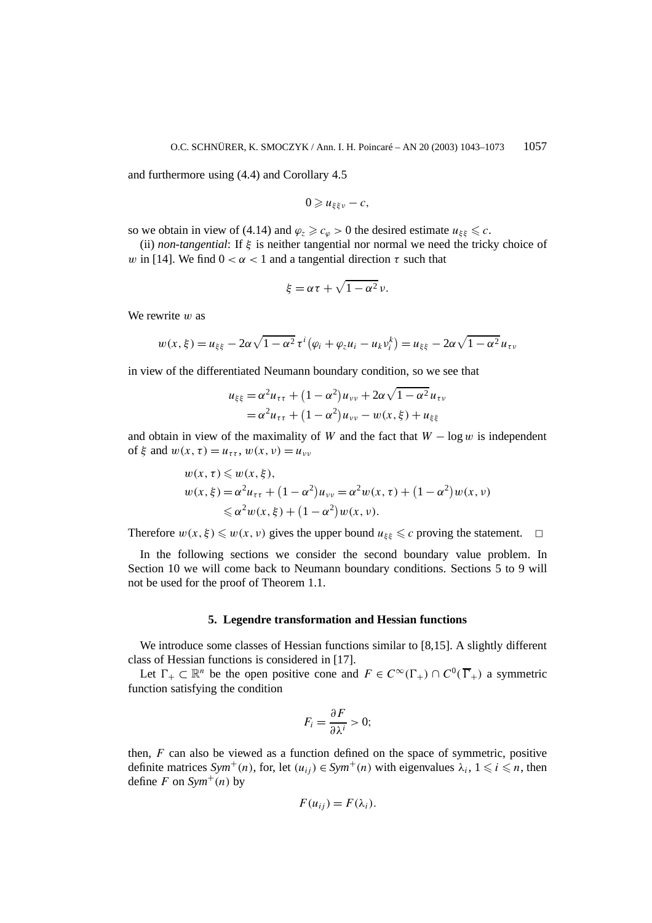and furthermore using (4.4) and Corollary 4.5

$$
0\geqslant u_{\xi\xi\nu}-c,
$$

so we obtain in view of (4.14) and  $\varphi_z \geq c_\varphi > 0$  the desired estimate  $u_{\xi\xi} \leq c$ .

(ii) *non-tangential*: If *ξ* is neither tangential nor normal we need the tricky choice of *w* in [14]. We find  $0 < \alpha < 1$  and a tangential direction  $\tau$  such that

$$
\xi = \alpha \tau + \sqrt{1 - \alpha^2} \nu.
$$

We rewrite *w* as

$$
w(x,\xi) = u_{\xi\xi} - 2\alpha\sqrt{1 - \alpha^2} \,\tau^i \big(\varphi_i + \varphi_z u_i - u_k v_i^k\big) = u_{\xi\xi} - 2\alpha\sqrt{1 - \alpha^2} \,u_{\tau\nu}
$$

in view of the differentiated Neumann boundary condition, so we see that

$$
u_{\xi\xi} = \alpha^2 u_{\tau\tau} + (1 - \alpha^2)u_{\nu\nu} + 2\alpha\sqrt{1 - \alpha^2}u_{\tau\nu}
$$
  
=  $\alpha^2 u_{\tau\tau} + (1 - \alpha^2)u_{\nu\nu} - w(x, \xi) + u_{\xi\xi}$ 

and obtain in view of the maximality of *W* and the fact that  $W - \log w$  is independent of  $\xi$  and  $w(x, \tau) = u_{\tau\tau}$ ,  $w(x, v) = u_{\nu\nu}$ 

$$
w(x, \tau) \leq w(x, \xi),
$$
  
\n
$$
w(x, \xi) = \alpha^2 u_{\tau\tau} + (1 - \alpha^2) u_{\nu\nu} = \alpha^2 w(x, \tau) + (1 - \alpha^2) w(x, \nu)
$$
  
\n
$$
\leq \alpha^2 w(x, \xi) + (1 - \alpha^2) w(x, \nu).
$$

Therefore  $w(x, \xi) \leq w(x, v)$  gives the upper bound  $u_{\xi\xi} \leq c$  proving the statement.  $\Box$ 

In the following sections we consider the second boundary value problem. In Section 10 we will come back to Neumann boundary conditions. Sections 5 to 9 will not be used for the proof of Theorem 1.1.

### **5. Legendre transformation and Hessian functions**

We introduce some classes of Hessian functions similar to [8,15]. A slightly different class of Hessian functions is considered in [17].

Let  $\Gamma_+ \subset \mathbb{R}^n$  be the open positive cone and  $F \in C^\infty(\Gamma_+) \cap C^0(\overline{\Gamma}_+)$  a symmetric function satisfying the condition

$$
F_i = \frac{\partial F}{\partial \lambda^i} > 0;
$$

then, *F* can also be viewed as a function defined on the space of symmetric, positive definite matrices  $Sym^+(n)$ , for, let  $(u_{ij}) \in Sym^+(n)$  with eigenvalues  $\lambda_i$ ,  $1 \leq i \leq n$ , then define *F* on  $Sym^+(n)$  by

$$
F(u_{ij})=F(\lambda_i).
$$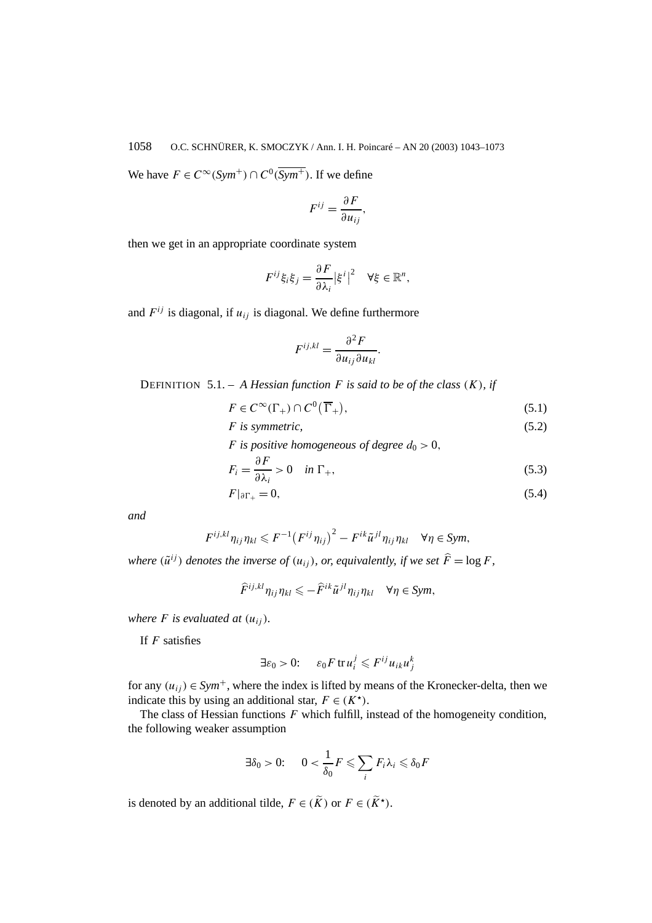We have  $F \in C^{\infty}(Sym^+) \cap C^0(\overline{Sym^+})$ . If we define

$$
F^{ij} = \frac{\partial F}{\partial u_{ij}},
$$

then we get in an appropriate coordinate system

$$
F^{ij}\xi_i\xi_j = \frac{\partial F}{\partial \lambda_i} |\xi^i|^2 \quad \forall \xi \in \mathbb{R}^n,
$$

and  $F^{ij}$  is diagonal, if  $u_{ij}$  is diagonal. We define furthermore

$$
F^{ij,kl} = \frac{\partial^2 F}{\partial u_{ij} \partial u_{kl}}
$$

DEFINITION 5.1. – *A Hessian function F is said to be of the class (K), if*

$$
F \in C^{\infty}(\Gamma_+) \cap C^0(\overline{\Gamma}_+),\tag{5.1}
$$

*.*

$$
F \text{ is symmetric,} \tag{5.2}
$$

*F* is positive homogeneous of degree  $d_0 > 0$ ,

$$
F_i = \frac{\partial F}{\partial \lambda_i} > 0 \quad \text{in } \Gamma_+, \tag{5.3}
$$

$$
F|_{\partial\Gamma_+}=0,\t\t(5.4)
$$

*and*

$$
F^{ij,kl}\eta_{ij}\eta_{kl}\leqslant F^{-1}\big(F^{ij}\eta_{ij}\big)^2-F^{ik}\tilde{u}^{jl}\eta_{ij}\eta_{kl}\quad\forall\eta\in Sym,
$$

*where*  $(\tilde{u}^{ij})$  *denotes the inverse of*  $(u_{ij})$ *, or, equivalently, if we set*  $\hat{F} = \log F$ *,* 

$$
\widehat{F}^{ij,kl}\eta_{ij}\eta_{kl}\leqslant-\widehat{F}^{ik}\widetilde{u}^{jl}\eta_{ij}\eta_{kl}\quad\forall\eta\in Sym,
$$

*where*  $F$  *is evaluated at*  $(u_{ii})$ *.* 

If *F* satisfies

$$
\exists \varepsilon_0 > 0: \quad \varepsilon_0 F \operatorname{tr} u_i^j \leqslant F^{ij} u_{ik} u_j^k
$$

for any  $(u_{ij}) \in Sym^+$ , where the index is lifted by means of the Kronecker-delta, then we indicate this by using an additional star,  $F \in (K^{\star})$ .

The class of Hessian functions *F* which fulfill, instead of the homogeneity condition, the following weaker assumption

$$
\exists \delta_0 > 0: \quad 0 < \frac{1}{\delta_0} F \leqslant \sum_i F_i \lambda_i \leqslant \delta_0 F
$$

is denoted by an additional tilde,  $F \in (\widetilde{K})$  or  $F \in (\widetilde{K}^{\star})$ .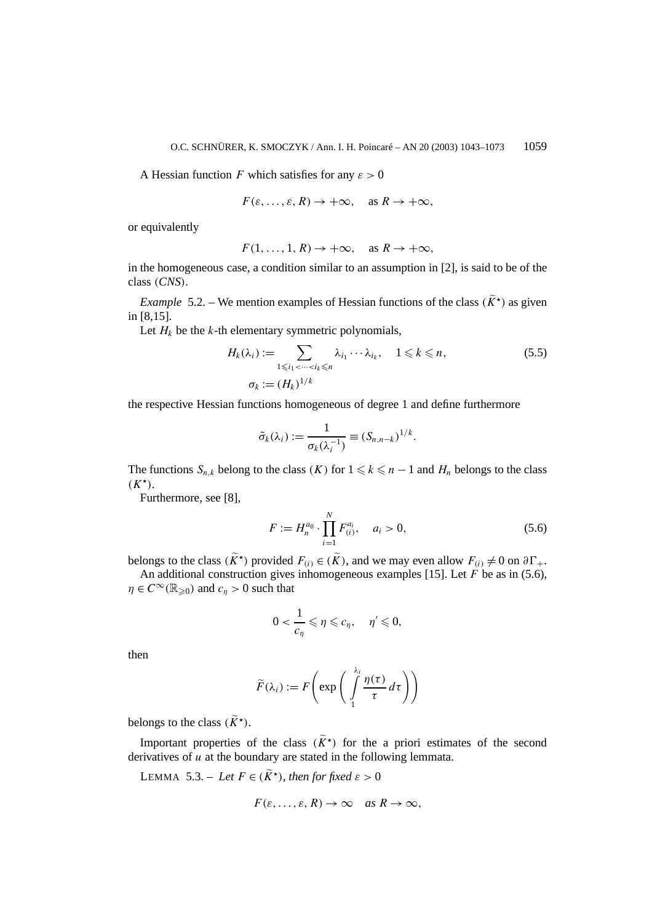A Hessian function *F* which satisfies for any  $\varepsilon > 0$ 

$$
F(\varepsilon, ..., \varepsilon, R) \to +\infty
$$
, as  $R \to +\infty$ ,

or equivalently

$$
F(1,\ldots,1,R)\to+\infty,\quad\text{as }R\to+\infty,
$$

in the homogeneous case, a condition similar to an assumption in [2], is said to be of the class *(CNS)*.

*Example* 5.2. – We mention examples of Hessian functions of the class  $(\widetilde{K}^*)$  as given in [8,15].

Let  $H_k$  be the  $k$ -th elementary symmetric polynomials,

$$
H_k(\lambda_i) := \sum_{1 \le i_1 < \dots < i_k \le n} \lambda_{i_1} \dotsm \lambda_{i_k}, \quad 1 \le k \le n,
$$
\n
$$
\sigma_k := (H_k)^{1/k}
$$
\n
$$
(5.5)
$$

the respective Hessian functions homogeneous of degree 1 and define furthermore

$$
\tilde{\sigma}_k(\lambda_i) := \frac{1}{\sigma_k(\lambda_i^{-1})} \equiv (S_{n,n-k})^{1/k}.
$$

The functions  $S_{n,k}$  belong to the class  $(K)$  for  $1 \leq k \leq n - 1$  and  $H_n$  belongs to the class  $(K^{\star}).$ 

Furthermore, see [8],

$$
F := H_n^{a_0} \cdot \prod_{i=1}^N F_{(i)}^{a_i}, \quad a_i > 0,
$$
\n(5.6)

belongs to the class  $(\widetilde{K}^*)$  provided  $F_{(i)} \in (\widetilde{K})$ , and we may even allow  $F_{(i)} \neq 0$  on  $\partial \Gamma_+$ .

An additional construction gives inhomogeneous examples [15]. Let *F* be as in (5.6),  $\eta \in C^{\infty}(\mathbb{R}_{\geqslant 0})$  and  $c_{\eta} > 0$  such that

$$
0<\frac{1}{c_\eta}\leqslant \eta\leqslant c_\eta,\quad \eta'\leqslant 0,
$$

then

$$
\widetilde{F}(\lambda_i) := F\left(\exp\left(\int\limits_1^{\lambda_i} \frac{\eta(\tau)}{\tau} d\tau\right)\right)
$$

belongs to the class  $(\widetilde{K}^{\star})$ .

Important properties of the class  $(\widetilde{K}^{\star})$  for the a priori estimates of the second derivatives of *u* at the boundary are stated in the following lemmata.

LEMMA 5.3. – Let  $F \in (\widetilde{K}^{\star})$ , then for fixed  $\varepsilon > 0$ 

$$
F(\varepsilon, \ldots, \varepsilon, R) \to \infty \quad \text{as } R \to \infty,
$$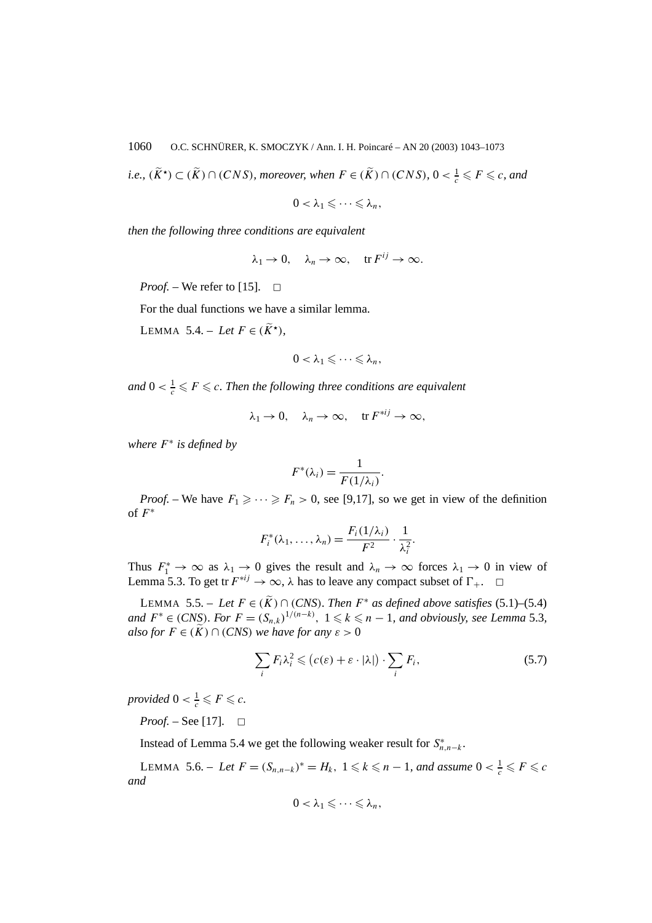*i.e.,*  $(K^{\star}) \subset (K) \cap (CNS)$ *, moreover, when*  $F \in (K) \cap (CNS)$ *,* 0 <  $\frac{1}{c} \leqslant F \leqslant c$ *, and* 

 $0 < \lambda_1 \leqslant \cdots \leqslant \lambda_n,$ 

*then the following three conditions are equivalent*

$$
\lambda_1 \to 0, \quad \lambda_n \to \infty, \quad \text{tr } F^{ij} \to \infty.
$$

*Proof.* – We refer to [15].  $\Box$ 

For the dual functions we have a similar lemma.

LEMMA 5.4. – Let  $F \in (\widetilde{K}^{\star})$ ,

$$
0<\lambda_1\leqslant\cdots\leqslant\lambda_n,
$$

*and*  $0 < \frac{1}{c} \leqslant F \leqslant c$ . Then the following three conditions are equivalent

$$
\lambda_1 \to 0, \quad \lambda_n \to \infty, \quad \text{tr } F^{*ij} \to \infty,
$$

*where F*<sup>∗</sup> *is defined by*

$$
F^*(\lambda_i) = \frac{1}{F(1/\lambda_i)}
$$

*.*

*Proof.* – We have  $F_1 \geqslant \cdots \geqslant F_n > 0$ , see [9,17], so we get in view of the definition of *F*<sup>∗</sup>

$$
F_i^*(\lambda_1,\ldots,\lambda_n)=\frac{F_i(1/\lambda_i)}{F^2}\cdot\frac{1}{\lambda_i^2}.
$$

Thus  $F_1^* \to \infty$  as  $\lambda_1 \to 0$  gives the result and  $\lambda_n \to \infty$  forces  $\lambda_1 \to 0$  in view of Lemma 5.3. To get tr  $F^{*ij} \to \infty$ ,  $\lambda$  has to leave any compact subset of  $\Gamma_+$ .  $\Box$ 

LEMMA 5.5. − *Let*  $F \in (\widetilde{K}) \cap (CNS)$ *. Then*  $F^*$  *as defined above satisfies* (5.1)–(5.4) *and*  $F^* \in (CNS)$ *. For*  $F = (S_{n,k})^{1/(n-k)}$ ,  $1 \leq k \leq n-1$ *, and obviously, see Lemma* 5.3*, also for*  $F \in (\widetilde{K}) \cap (CNS)$  *we have for any*  $\varepsilon > 0$ 

$$
\sum_{i} F_{i} \lambda_{i}^{2} \leqslant \left( c(\varepsilon) + \varepsilon \cdot |\lambda| \right) \cdot \sum_{i} F_{i}, \tag{5.7}
$$

*provided*  $0 < \frac{1}{c} \leqslant F \leqslant c$ .

*Proof.* – See [17].  $\Box$ 

Instead of Lemma 5.4 we get the following weaker result for  $S^*_{n,n-k}$ .

 $\text{LEMMA } 5.6. - \text{ Let } F = (S_{n,n-k})^* = H_k, \ 1 \leq k \leq n-1, \text{ and assume } 0 < \frac{1}{c} \leq F \leq c$ *and*

$$
0<\lambda_1\leqslant\cdots\leqslant\lambda_n,
$$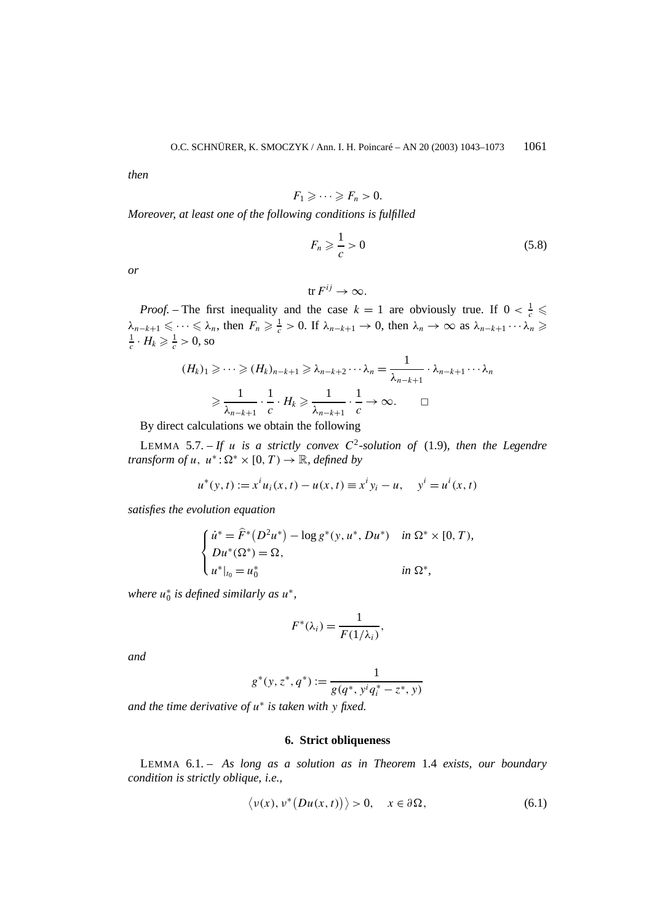*then*

$$
F_1 \geqslant \cdots \geqslant F_n > 0.
$$

*Moreover, at least one of the following conditions is fulfilled*

$$
F_n \geqslant \frac{1}{c} > 0 \tag{5.8}
$$

*or*

$$
\text{tr } F^{ij} \to \infty.
$$

*Proof.* – The first inequality and the case  $k = 1$  are obviously true. If  $0 < \frac{1}{c} \le$  $\lambda_{n-k+1} \leq \cdots \leq \lambda_n$ , then  $F_n \geq \frac{1}{c} > 0$ . If  $\lambda_{n-k+1} \to 0$ , then  $\lambda_n \to \infty$  as  $\lambda_{n-k+1} \cdots \lambda_n \geq$  $\frac{1}{c} \cdot H_k \geqslant \frac{1}{c} > 0$ , so

$$
(H_k)_1 \geqslant \cdots \geqslant (H_k)_{n-k+1} \geqslant \lambda_{n-k+2} \cdots \lambda_n = \frac{1}{\lambda_{n-k+1}} \cdot \lambda_{n-k+1} \cdots \lambda_n
$$

$$
\geqslant \frac{1}{\lambda_{n-k+1}} \cdot \frac{1}{c} \cdot H_k \geqslant \frac{1}{\lambda_{n-k+1}} \cdot \frac{1}{c} \to \infty. \qquad \Box
$$

By direct calculations we obtain the following

LEMMA 5.7. – If *u* is a strictly convex  $C^2$ -solution of (1.9), then the Legendre *transform of u,*  $u^*$ :  $\Omega^* \times [0, T) \rightarrow \mathbb{R}$ *, defined by* 

$$
u^*(y, t) := x^i u_i(x, t) - u(x, t) \equiv x^i y_i - u, \quad y^i = u^i(x, t)
$$

*satisfies the evolution equation*

$$
\begin{cases} \n\dot{u}^* = \hat{F}^*(D^2 u^*) - \log g^*(y, u^*, Du^*) & \text{in } \Omega^* \times [0, T), \\ \n\frac{D u^*(\Omega^*)}{u^*|_{t_0} = u_0^*} & \text{in } \Omega^*, \n\end{cases}
$$

*where*  $u_0^*$  *is defined similarly as*  $u^*$ ,

$$
F^*(\lambda_i) = \frac{1}{F(1/\lambda_i)},
$$

*and*

$$
g^*(y, z^*, q^*) := \frac{1}{g(q^*, y^i q_i^* - z^*, y)}
$$

*and the time derivative of u*<sup>∗</sup> *is taken with y fixed.*

# **6. Strict obliqueness**

LEMMA 6.1. – *As long as a solution as in Theorem* 1.4 *exists, our boundary condition is strictly oblique, i.e.,*

$$
\langle v(x), v^*(Du(x,t))\rangle > 0, \quad x \in \partial\Omega,
$$
\n(6.1)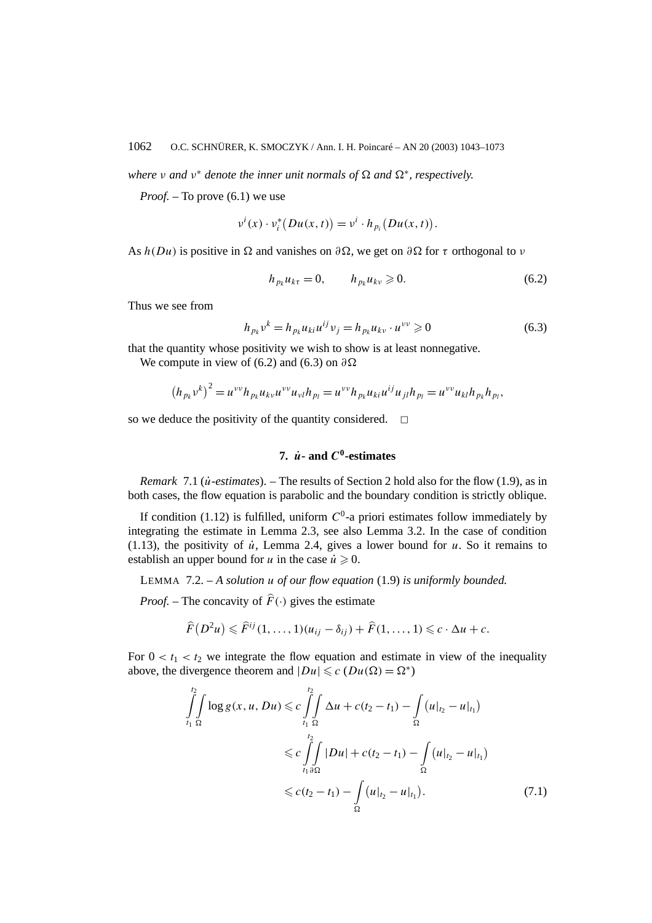*where v* and  $v^*$  *denote the inner unit normals of*  $\Omega$  *and*  $\Omega^*$ *, respectively.* 

*Proof. –* To prove (6.1) we use

$$
v^{i}(x)\cdot v_{i}^{*}(Du(x,t))=v^{i}\cdot h_{p_{i}}(Du(x,t)).
$$

As  $h(Du)$  is positive in  $\Omega$  and vanishes on  $\partial\Omega$ , we get on  $\partial\Omega$  for  $\tau$  orthogonal to *v* 

$$
h_{p_k}u_{k\tau}=0, \qquad h_{p_k}u_{k\nu}\geqslant 0. \tag{6.2}
$$

Thus we see from

$$
h_{p_k} v^k = h_{p_k} u_{ki} u^{ij} v_j = h_{p_k} u_{kv} \cdot u^{vv} \geq 0
$$
 (6.3)

that the quantity whose positivity we wish to show is at least nonnegative.

We compute in view of (6.2) and (6.3) on *∂*

$$
(h_{p_k}v^k)^2 = u^{vv}h_{p_k}u_{kv}u^{vv}u_{vl}h_{p_l} = u^{vv}h_{p_k}u_{ki}u^{ij}u_{jl}h_{p_l} = u^{vv}u_{kl}h_{p_k}h_{p_l},
$$

so we deduce the positivity of the quantity considered.  $\Box$ 

# **7.**  $\dot{u}$ **-** and  $C^0$ **-estimates**

*Remark* 7.1 (*u*˙*-estimates*). – The results of Section 2 hold also for the flow (1.9), as in both cases, the flow equation is parabolic and the boundary condition is strictly oblique.

If condition (1.12) is fulfilled, uniform  $C^0$ -a priori estimates follow immediately by integrating the estimate in Lemma 2.3, see also Lemma 3.2. In the case of condition (1.13), the positivity of  $\dot{u}$ , Lemma 2.4, gives a lower bound for  $u$ . So it remains to establish an upper bound for *u* in the case  $\dot{u} \ge 0$ .

LEMMA 7.2. – *A solution u of our flow equation* (1.9) *is uniformly bounded.*

*Proof.* – The concavity of  $\hat{F}(\cdot)$  gives the estimate

$$
\widehat{F}(D^2u)\leqslant \widehat{F}^{ij}(1,\ldots,1)(u_{ij}-\delta_{ij})+\widehat{F}(1,\ldots,1)\leqslant c\cdot\Delta u+c.
$$

For  $0 < t_1 < t_2$  we integrate the flow equation and estimate in view of the inequality above, the divergence theorem and  $|Du| \leq c$   $(Du(\Omega) = \Omega^*)$ 

$$
\int_{t_1}^{t_2} \int \int \log g(x, u, Du) \leqslant c \int_{t_1}^{t_2} \int \int \Delta u + c(t_2 - t_1) - \int \int \int \left(u|_{t_2} - u|_{t_1}\right)
$$
  

$$
\leqslant c \int_{t_1 \delta\Omega}^{t_2} |Du| + c(t_2 - t_1) - \int \int \int \left(u|_{t_2} - u|_{t_1}\right)
$$
  

$$
\leqslant c(t_2 - t_1) - \int \int \int \left(u|_{t_2} - u|_{t_1}\right).
$$
 (7.1)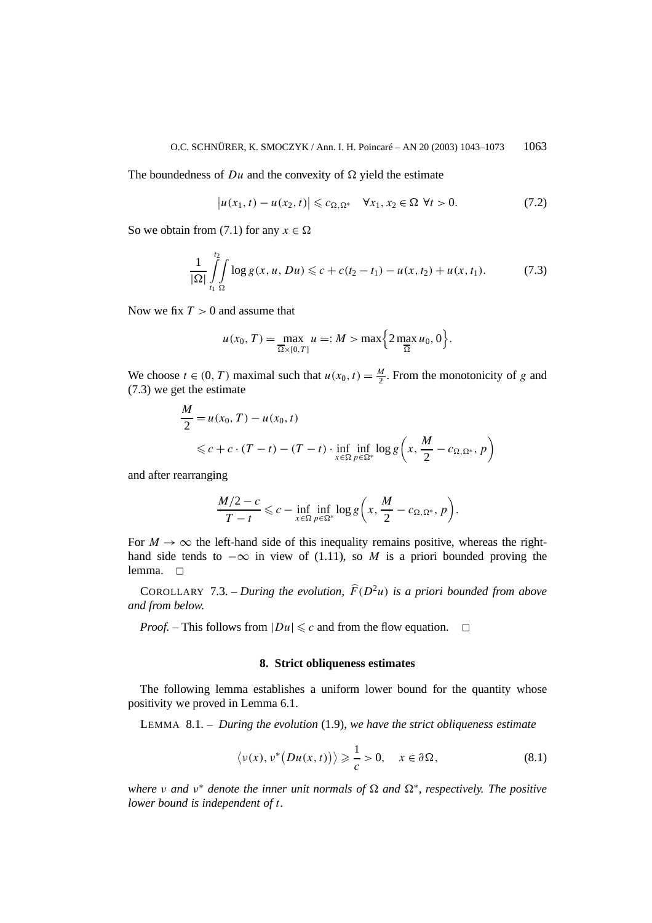The boundedness of  $Du$  and the convexity of  $\Omega$  yield the estimate

$$
\left|u(x_1,t) - u(x_2,t)\right| \leqslant c_{\Omega,\Omega^*} \quad \forall x_1, x_2 \in \Omega \ \forall t > 0. \tag{7.2}
$$

So we obtain from (7.1) for any  $x \in \Omega$ 

$$
\frac{1}{|\Omega|} \int_{t_1}^{t_2} \int_{\Omega} \log g(x, u, Du) \leq c + c(t_2 - t_1) - u(x, t_2) + u(x, t_1). \tag{7.3}
$$

Now we fix *T >* 0 and assume that

$$
u(x_0, T) = \max_{\overline{\Omega} \times [0, T]} u =: M > \max\left\{2 \max_{\overline{\Omega}} u_0, 0\right\}.
$$

We choose  $t \in (0, T)$  maximal such that  $u(x_0, t) = \frac{M}{2}$ . From the monotonicity of *g* and (7.3) we get the estimate

$$
\frac{M}{2} = u(x_0, T) - u(x_0, t)
$$
  
\$\leq c + c \cdot (T - t) - (T - t) \cdot \inf\_{x \in \Omega} \inf\_{p \in \Omega^\*} \log g\left(x, \frac{M}{2} - c\_{\Omega, \Omega^\*}, p\right)\$

and after rearranging

*M*

$$
\frac{M/2-c}{T-t}\leqslant c-\inf_{x\in\Omega}\inf_{p\in\Omega^*}\log g\bigg(x,\frac{M}{2}-c_{\Omega,\Omega^*},p\bigg).
$$

For  $M \to \infty$  the left-hand side of this inequality remains positive, whereas the righthand side tends to  $-\infty$  in view of (1.11), so *M* is a priori bounded proving the lemma.  $\square$ 

COROLLARY 7.3. – *During the evolution,*  $\hat{F}(D^2u)$  *is a priori bounded from above and from below.*

*Proof.* – This follows from  $|Du| \leq c$  and from the flow equation.  $\Box$ 

#### **8. Strict obliqueness estimates**

The following lemma establishes a uniform lower bound for the quantity whose positivity we proved in Lemma 6.1.

LEMMA 8.1. – *During the evolution* (1.9), *we have the strict obliqueness estimate*

$$
\langle \nu(x), \nu^*(Du(x,t)) \rangle \geq \frac{1}{c} > 0, \quad x \in \partial \Omega,
$$
 (8.1)

*where v* and  $v^*$  *denote the inner unit normals of*  $\Omega$  *and*  $\Omega^*$ *, respectively. The positive lower bound is independent of t.*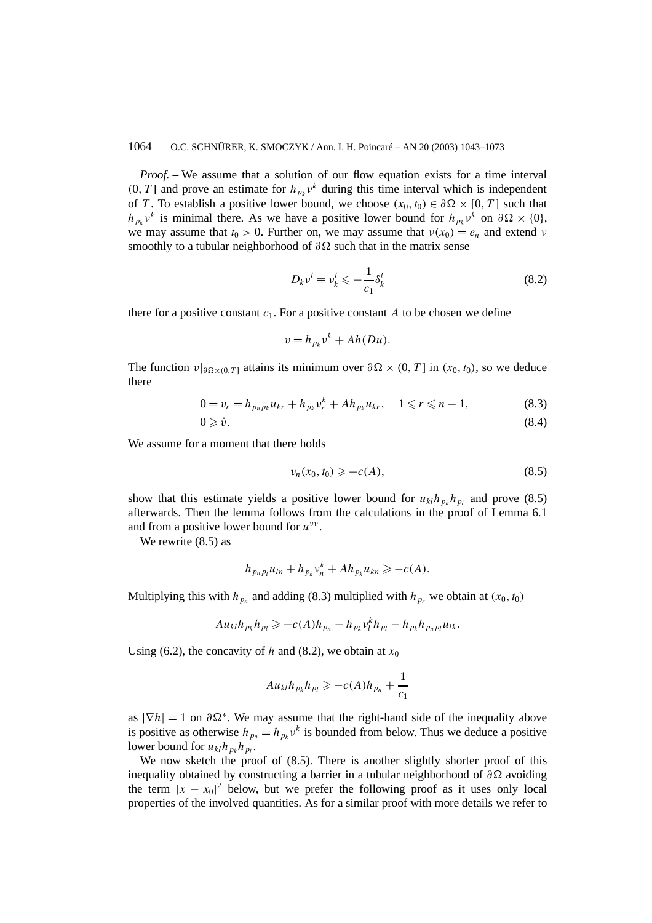*Proof. –* We assume that a solution of our flow equation exists for a time interval  $(0, T]$  and prove an estimate for  $h_{p_k}v^k$  during this time interval which is independent of *T*. To establish a positive lower bound, we choose  $(x_0, t_0) \in \partial\Omega \times [0, T]$  such that *h<sub>pk</sub>v<sup>k</sup>* is minimal there. As we have a positive lower bound for  $h_{p_k}v^k$  on  $\partial\Omega \times \{0\}$ , we may assume that  $t_0 > 0$ . Further on, we may assume that  $v(x_0) = e_n$  and extend *ν* smoothly to a tubular neighborhood of *∂*Ω such that in the matrix sense

$$
D_k v^l \equiv v^l_k \leqslant -\frac{1}{c_1} \delta^l_k \tag{8.2}
$$

there for a positive constant  $c_1$ . For a positive constant A to be chosen we define

$$
v = h_{p_k} v^k + Ah(Du).
$$

The function  $v|_{\partial \Omega \times (0,T]}$  attains its minimum over  $\partial \Omega \times (0,T]$  in  $(x_0, t_0)$ , so we deduce there

$$
0 = v_r = h_{p_n p_k} u_{kr} + h_{p_k} v_r^k + A h_{p_k} u_{kr}, \quad 1 \le r \le n - 1,
$$
 (8.3)

$$
0 \geqslant \dot{v}.\tag{8.4}
$$

We assume for a moment that there holds

$$
v_n(x_0, t_0) \geqslant -c(A),\tag{8.5}
$$

show that this estimate yields a positive lower bound for  $u_{kl}h_{p_l}h_{p_l}$  and prove (8.5) afterwards. Then the lemma follows from the calculations in the proof of Lemma 6.1 and from a positive lower bound for *uνν* .

We rewrite (8.5) as

$$
h_{p_np_l}u_{ln}+h_{p_k}v_n^k+Ah_{p_k}u_{kn}\geq -c(A).
$$

Multiplying this with  $h_{p_n}$  and adding (8.3) multiplied with  $h_{p_r}$  we obtain at  $(x_0, t_0)$ 

$$
Au_{kl}h_{p_k}h_{p_l}\geq -c(A)h_{p_n}-h_{p_k}v_l^kh_{p_l}-h_{p_k}h_{p_np_l}u_{lk}.
$$

Using (6.2), the concavity of *h* and (8.2), we obtain at  $x_0$ 

$$
Au_{kl}h_{p_k}h_{p_l}\geqslant -c(A)h_{p_n}+\frac{1}{c_1}
$$

as  $|\nabla h| = 1$  on  $\partial \Omega^*$ . We may assume that the right-hand side of the inequality above is positive as otherwise  $h_{p_n} = h_{p_k} v^k$  is bounded from below. Thus we deduce a positive lower bound for  $u_{kl}h_{p_l}h_{p_l}$ .

We now sketch the proof of  $(8.5)$ . There is another slightly shorter proof of this inequality obtained by constructing a barrier in a tubular neighborhood of *∂* avoiding the term  $|x - x_0|^2$  below, but we prefer the following proof as it uses only local properties of the involved quantities. As for a similar proof with more details we refer to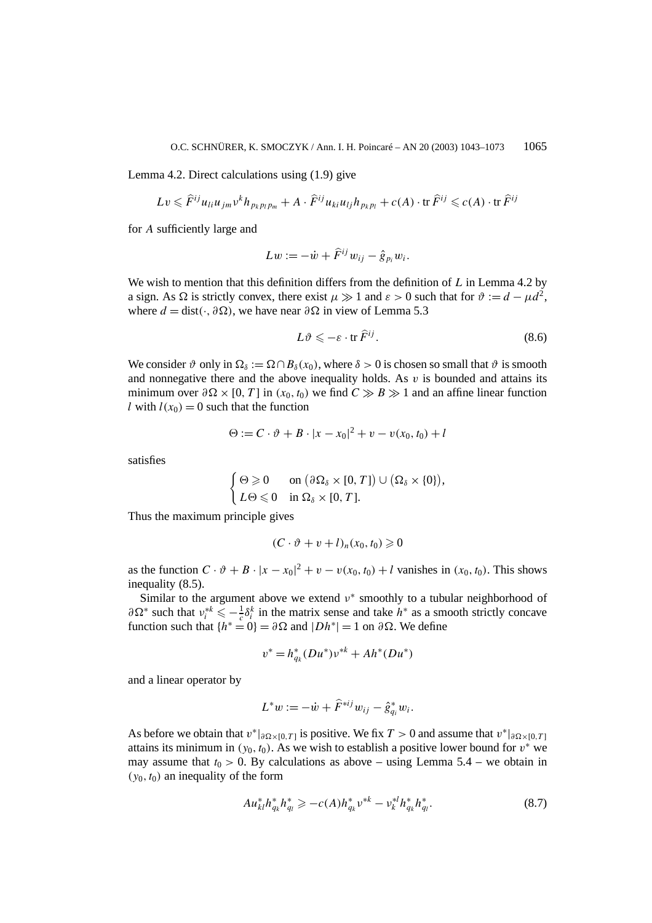Lemma 4.2. Direct calculations using (1.9) give

$$
Lv \leqslant \widehat{F}^{ij}u_{li}u_{jm}v^kh_{p_kp_lp_m} + A \cdot \widehat{F}^{ij}u_{ki}u_{lj}h_{p_kp_l} + c(A) \cdot \text{tr } \widehat{F}^{ij} \leqslant c(A) \cdot \text{tr } \widehat{F}^{ij}
$$

for *A* sufficiently large and

$$
Lw := -\dot{w} + \hat{F}^{ij}w_{ij} - \hat{g}_{p_i}w_i.
$$

We wish to mention that this definition differs from the definition of *L* in Lemma 4.2 by a sign. As  $\Omega$  is strictly convex, there exist  $\mu \gg 1$  and  $\varepsilon > 0$  such that for  $\vartheta := d - \mu d^2$ , where  $d = \text{dist}(\cdot, \partial \Omega)$ , we have near  $\partial \Omega$  in view of Lemma 5.3

$$
L\vartheta \leqslant -\varepsilon \cdot \operatorname{tr} \widehat{F}^{ij}.\tag{8.6}
$$

We consider  $\vartheta$  only in  $\Omega_{\delta} := \Omega \cap B_{\delta}(x_0)$ , where  $\delta > 0$  is chosen so small that  $\vartheta$  is smooth and nonnegative there and the above inequality holds. As  $v$  is bounded and attains its minimum over  $\partial \Omega \times [0, T]$  in  $(x_0, t_0)$  we find  $C \gg B \gg 1$  and an affine linear function *l* with  $l(x_0) = 0$  such that the function

$$
\Theta := C \cdot \vartheta + B \cdot |x - x_0|^2 + v - v(x_0, t_0) + l
$$

satisfies

$$
\begin{cases} \Theta \geqslant 0 & \text{on } (\partial \Omega_{\delta} \times [0, T]) \cup (\Omega_{\delta} \times \{0\}), \\ L\Theta \leqslant 0 & \text{in } \Omega_{\delta} \times [0, T]. \end{cases}
$$

Thus the maximum principle gives

$$
(C \cdot \vartheta + v + l)_n(x_0, t_0) \geq 0
$$

as the function  $C \cdot \vartheta + B \cdot |x - x_0|^2 + v - v(x_0, t_0) + l$  vanishes in  $(x_0, t_0)$ . This shows inequality (8.5).

Similar to the argument above we extend  $v^*$  smoothly to a tubular neighborhood of  $\partial \Omega^*$  such that  $v_i^{*k} \leq -\frac{1}{c} \delta_i^k$  in the matrix sense and take  $h^*$  as a smooth strictly concave function such that  $\{h^* = 0\} = \partial \Omega$  and  $|Dh^*| = 1$  on  $\partial \Omega$ . We define

$$
v^* = h_{q_k}^*(Du^*)v^{*k} + Ah^*(Du^*)
$$

and a linear operator by

$$
L^*w := -\dot{w} + \hat{F}^{*ij}w_{ij} - \hat{g}_{q_i}^*w_i.
$$

As before we obtain that  $v^*|_{\partial \Omega \times [0,T]}$  is positive. We fix  $T > 0$  and assume that  $v^*|_{\partial \Omega \times [0,T]}$ attains its minimum in  $(y_0, t_0)$ . As we wish to establish a positive lower bound for  $v^*$  we may assume that  $t_0 > 0$ . By calculations as above – using Lemma 5.4 – we obtain in  $(y_0, t_0)$  an inequality of the form

$$
Au_{kl}^*h_{q_l}^*h_{q_l}^* \ge -c(A)h_{q_k}^*v^{*k} - v_k^{*l}h_{q_k}^*h_{q_l}^*.
$$
 (8.7)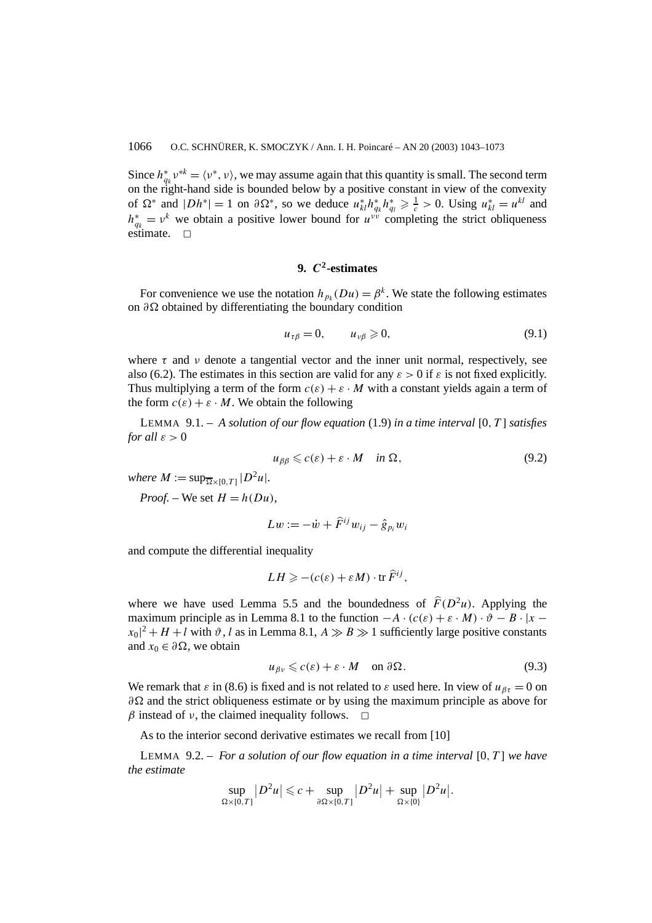Since  $h_{q_k}^* v^{*k} = \langle v^*, v \rangle$ , we may assume again that this quantity is small. The second term on the right-hand side is bounded below by a positive constant in view of the convexity of  $\Omega^*$  and  $|Dh^*| = 1$  on  $\partial \Omega^*$ , so we deduce  $u^*_{kl}h^*_{q_k}h^*_{q_l} \ge \frac{1}{c} > 0$ . Using  $u^*_{kl} = u^{kl}$  and  $h_{q_k}^* = v^k$  we obtain a positive lower bound for  $u^{vv}$  completing the strict obliqueness estimate.  $\square$ 

# **9.** *C***2-estimates**

For convenience we use the notation  $h_{n_k}(Du) = \beta^k$ . We state the following estimates on *∂* obtained by differentiating the boundary condition

$$
u_{\tau\beta} = 0, \qquad u_{\nu\beta} \geqslant 0, \tag{9.1}
$$

where  $\tau$  and  $\nu$  denote a tangential vector and the inner unit normal, respectively, see also (6.2). The estimates in this section are valid for any  $\varepsilon > 0$  if  $\varepsilon$  is not fixed explicitly. Thus multiplying a term of the form  $c(\varepsilon) + \varepsilon \cdot M$  with a constant yields again a term of the form  $c(\varepsilon) + \varepsilon \cdot M$ . We obtain the following

LEMMA 9.1. – *A solution of our flow equation* (1.9) *in a time interval* [0*, T* ] *satisfies for all*  $\varepsilon > 0$ 

$$
u_{\beta\beta} \leqslant c(\varepsilon) + \varepsilon \cdot M \quad \text{in } \Omega,\tag{9.2}
$$

*where*  $M := \sup_{\Omega \times [0, T]} |D^2 u|$ *.* 

*Proof.* – We set  $H = h(Du)$ ,

$$
Lw := -\dot{w} + \hat{F}^{ij}w_{ij} - \hat{g}_{p_i}w_i
$$

and compute the differential inequality

$$
LH \geqslant -(c(\varepsilon) + \varepsilon M) \cdot \operatorname{tr} \widehat{F}^{ij},
$$

where we have used Lemma 5.5 and the boundedness of  $\hat{F}(D^2u)$ . Applying the maximum principle as in Lemma 8.1 to the function  $-A \cdot (c(\varepsilon) + \varepsilon \cdot M) \cdot \vartheta - B \cdot |x |x_0|^2 + H + l$  with  $\vartheta$ , *l* as in Lemma 8.1,  $A \gg B \gg 1$  sufficiently large positive constants and  $x_0 \in \partial \Omega$ , we obtain

$$
u_{\beta\nu} \leqslant c(\varepsilon) + \varepsilon \cdot M \quad \text{on } \partial \Omega. \tag{9.3}
$$

We remark that  $\varepsilon$  in (8.6) is fixed and is not related to  $\varepsilon$  used here. In view of  $u_{\beta\tau} = 0$  on *∂* and the strict obliqueness estimate or by using the maximum principle as above for *β* instead of *ν*, the claimed inequality follows.  $\Box$ 

As to the interior second derivative estimates we recall from [10]

LEMMA 9.2. – *For a solution of our flow equation in a time interval* [0*, T* ] *we have the estimate*

$$
\sup_{\Omega\times[0,T]}|D^2u|\leqslant c+\sup_{\partial\Omega\times[0,T]}|D^2u|+\sup_{\Omega\times\{0\}}|D^2u|.
$$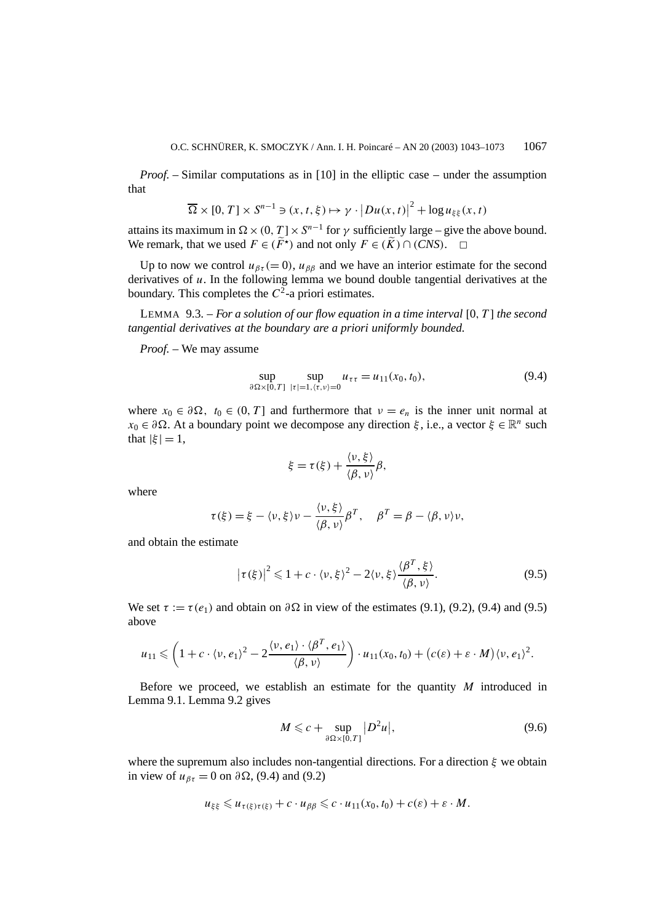*Proof.* – Similar computations as in [10] in the elliptic case – under the assumption that

$$
\overline{\Omega} \times [0, T] \times S^{n-1} \ni (x, t, \xi) \mapsto \gamma \cdot |Du(x, t)|^2 + \log u_{\xi\xi}(x, t)
$$

attains its maximum in  $\Omega \times (0, T] \times S^{n-1}$  for  $\gamma$  sufficiently large – give the above bound. We remark, that we used  $F \in (\widetilde{F}^*)$  and not only  $F \in (\widetilde{K}) \cap (CNS)$ .  $\Box$ 

Up to now we control  $u_{\beta\tau} (= 0)$ ,  $u_{\beta\beta}$  and we have an interior estimate for the second derivatives of *u*. In the following lemma we bound double tangential derivatives at the boundary. This completes the  $C^2$ -a priori estimates.

LEMMA 9.3. – *For a solution of our flow equation in a time interval* [0*, T* ] *the second tangential derivatives at the boundary are a priori uniformly bounded.*

*Proof. –* We may assume

$$
\sup_{\partial \Omega \times [0,T]} \sup_{|\tau|=1, \langle \tau, \nu \rangle = 0} u_{\tau \tau} = u_{11}(x_0, t_0), \tag{9.4}
$$

where  $x_0 \in \partial \Omega$ ,  $t_0 \in (0, T]$  and furthermore that  $v = e_n$  is the inner unit normal at  $x_0$  ∈ *∂*Ω. At a boundary point we decompose any direction *ξ*, i.e., a vector *ξ* ∈  $\mathbb{R}^n$  such that  $|\xi| = 1$ ,

$$
\xi = \tau(\xi) + \frac{\langle \nu, \xi \rangle}{\langle \beta, \nu \rangle} \beta,
$$

where

$$
\tau(\xi) = \xi - \langle \nu, \xi \rangle \nu - \frac{\langle \nu, \xi \rangle}{\langle \beta, \nu \rangle} \beta^T, \quad \beta^T = \beta - \langle \beta, \nu \rangle \nu,
$$

and obtain the estimate

$$
|\tau(\xi)|^2 \leq 1 + c \cdot \langle \nu, \xi \rangle^2 - 2 \langle \nu, \xi \rangle \frac{\langle \beta^T, \xi \rangle}{\langle \beta, \nu \rangle}.
$$
 (9.5)

We set  $\tau := \tau(e_1)$  and obtain on  $\partial \Omega$  in view of the estimates (9.1), (9.2), (9.4) and (9.5) above

$$
u_{11} \leqslant \left(1 + c \cdot \langle v, e_1 \rangle^2 - 2 \frac{\langle v, e_1 \rangle \cdot \langle \beta^T, e_1 \rangle}{\langle \beta, v \rangle}\right) \cdot u_{11}(x_0, t_0) + \left(c(\varepsilon) + \varepsilon \cdot M\right) \langle v, e_1 \rangle^2.
$$

Before we proceed, we establish an estimate for the quantity *M* introduced in Lemma 9.1. Lemma 9.2 gives

$$
M \leqslant c + \sup_{\partial \Omega \times [0, T]} |D^2 u|,
$$
\n(9.6)

where the supremum also includes non-tangential directions. For a direction *ξ* we obtain in view of  $u_{\beta\tau} = 0$  on  $\partial\Omega$ , (9.4) and (9.2)

$$
u_{\xi\xi} \leq u_{\tau(\xi)\tau(\xi)} + c \cdot u_{\beta\beta} \leq c \cdot u_{11}(x_0, t_0) + c(\varepsilon) + \varepsilon \cdot M.
$$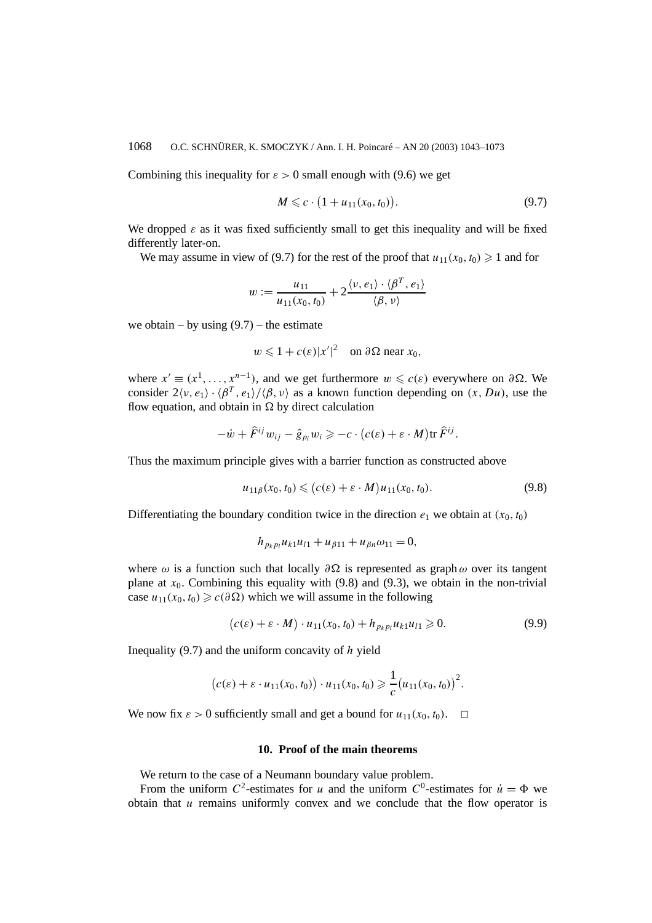Combining this inequality for  $\varepsilon > 0$  small enough with (9.6) we get

$$
M \leq c \cdot (1 + u_{11}(x_0, t_0)). \tag{9.7}
$$

We dropped  $\varepsilon$  as it was fixed sufficiently small to get this inequality and will be fixed differently later-on.

We may assume in view of (9.7) for the rest of the proof that  $u_{11}(x_0, t_0) \ge 1$  and for

$$
w := \frac{u_{11}}{u_{11}(x_0, t_0)} + 2 \frac{\langle v, e_1 \rangle \cdot \langle \beta^T, e_1 \rangle}{\langle \beta, v \rangle}
$$

we obtain – by using  $(9.7)$  – the estimate

$$
w \leq 1 + c(\varepsilon)|x'|^2
$$
 on  $\partial\Omega$  near  $x_0$ ,

where  $x' \equiv (x^1, \ldots, x^{n-1})$ , and we get furthermore  $w \leq c(\varepsilon)$  everywhere on  $\partial \Omega$ . We consider  $2\langle v, e_1 \rangle \cdot \langle \beta^T, e_1 \rangle / \langle \beta, v \rangle$  as a known function depending on  $(x, Du)$ , use the flow equation, and obtain in  $\Omega$  by direct calculation

$$
-\dot{w}+\widehat{F}^{ij}w_{ij}-\hat{g}_{p_i}w_i\geqslant-c\cdot\big(c(\varepsilon)+\varepsilon\cdot M\big)\text{tr }\widehat{F}^{ij}.
$$

Thus the maximum principle gives with a barrier function as constructed above

$$
u_{11\beta}(x_0, t_0) \leqslant (c(\varepsilon) + \varepsilon \cdot M)u_{11}(x_0, t_0). \tag{9.8}
$$

Differentiating the boundary condition twice in the direction  $e_1$  we obtain at  $(x_0, t_0)$ 

$$
h_{p_k p_l} u_{k1} u_{l1} + u_{\beta 11} + u_{\beta n} \omega_{11} = 0,
$$

where  $\omega$  is a function such that locally  $\partial \Omega$  is represented as graph  $\omega$  over its tangent plane at  $x_0$ . Combining this equality with (9.8) and (9.3), we obtain in the non-trivial case  $u_{11}(x_0, t_0)$  ≥  $c(\partial \Omega)$  which we will assume in the following

$$
(c(\varepsilon) + \varepsilon \cdot M) \cdot u_{11}(x_0, t_0) + h_{p_k p_l} u_{k1} u_{l1} \ge 0.
$$
 (9.9)

Inequality (9.7) and the uniform concavity of *h* yield

$$
(c(\varepsilon) + \varepsilon \cdot u_{11}(x_0, t_0)) \cdot u_{11}(x_0, t_0) \geq \frac{1}{c} (u_{11}(x_0, t_0))^{2}.
$$

We now fix  $\varepsilon > 0$  sufficiently small and get a bound for  $u_{11}(x_0, t_0)$ .  $\Box$ 

# **10. Proof of the main theorems**

We return to the case of a Neumann boundary value problem.

From the uniform  $C^2$ -estimates for *u* and the uniform  $C^0$ -estimates for  $\dot{u} = \Phi$  we obtain that *u* remains uniformly convex and we conclude that the flow operator is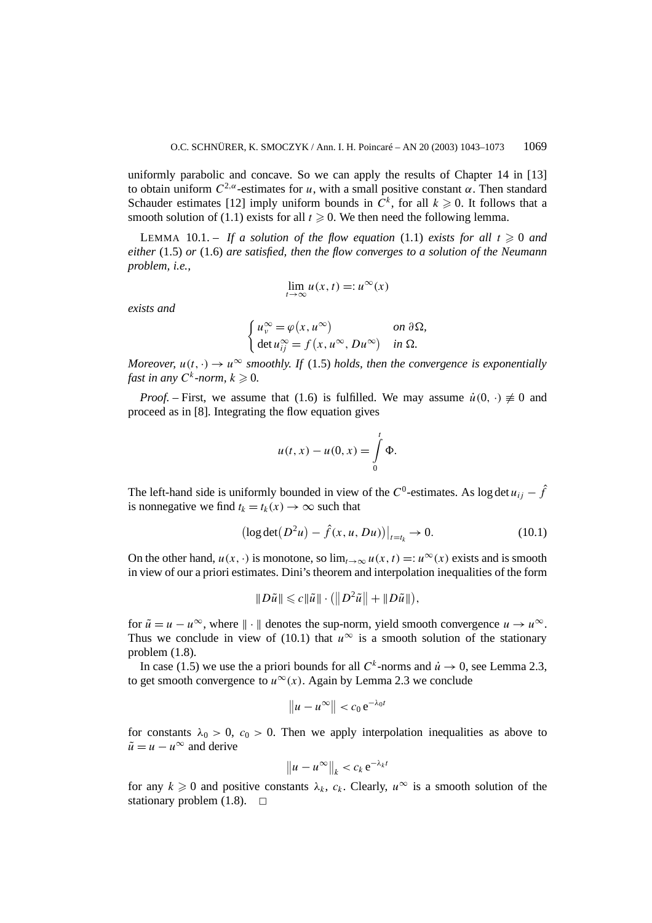uniformly parabolic and concave. So we can apply the results of Chapter 14 in [13] to obtain uniform  $C^{2,\alpha}$ -estimates for *u*, with a small positive constant  $\alpha$ . Then standard Schauder estimates [12] imply uniform bounds in  $\dot{C}^k$ , for all  $k \geq 0$ . It follows that a smooth solution of (1.1) exists for all  $t \ge 0$ . We then need the following lemma.

LEMMA 10.1. – If a solution of the flow equation (1.1) exists for all  $t \ge 0$  and *either* (1.5) *or* (1.6) *are satisfied, then the flow converges to a solution of the Neumann problem, i.e.,*

$$
\lim_{t \to \infty} u(x, t) =: u^{\infty}(x)
$$

*exists and*

$$
\begin{cases}\n u_v^{\infty} = \varphi(x, u^{\infty}) & \text{on } \partial \Omega, \\
 \det u_{ij}^{\infty} = f(x, u^{\infty}, Du^{\infty}) & \text{in } \Omega.\n\end{cases}
$$

*Moreover,*  $u(t, \cdot) \to u^{\infty}$  *smoothly. If* (1.5) *holds, then the convergence is exponentially fast in any*  $C^k$ -*norm,*  $k \geq 0$ .

*Proof.* – First, we assume that (1.6) is fulfilled. We may assume  $\dot{u}(0, \cdot) \neq 0$  and proceed as in [8]. Integrating the flow equation gives

$$
u(t, x) - u(0, x) = \int_{0}^{t} \Phi.
$$

The left-hand side is uniformly bounded in view of the  $C^0$ -estimates. As log det  $u_{ij} - \hat{f}$ is nonnegative we find  $t_k = t_k(x) \rightarrow \infty$  such that

$$
(\log \det (D^2 u) - \hat{f}(x, u, Du))|_{t=t_k} \to 0.
$$
 (10.1)

On the other hand,  $u(x, \cdot)$  is monotone, so  $\lim_{t\to\infty} u(x, t) =: u^\infty(x)$  exists and is smooth in view of our a priori estimates. Dini's theorem and interpolation inequalities of the form

$$
||D\tilde{u}|| \leq c||\tilde{u}|| \cdot (||D^2\tilde{u}|| + ||D\tilde{u}||),
$$

for  $\tilde{u} = u - u^{\infty}$ , where  $\|\cdot\|$  denotes the sup-norm, yield smooth convergence  $u \to u^{\infty}$ . Thus we conclude in view of (10.1) that  $u^{\infty}$  is a smooth solution of the stationary problem (1.8).

In case (1.5) we use the a priori bounds for all  $C^k$ -norms and  $\dot{u} \to 0$ , see Lemma 2.3, to get smooth convergence to  $u^{\infty}(x)$ . Again by Lemma 2.3 we conclude

$$
\|u-u^{\infty}\|
$$

for constants  $\lambda_0 > 0$ ,  $c_0 > 0$ . Then we apply interpolation inequalities as above to  $\tilde{u} = u - u^{\infty}$  and derive

$$
\|u-u^{\infty}\|_{k}
$$

for any  $k \ge 0$  and positive constants  $\lambda_k$ ,  $c_k$ . Clearly,  $u^{\infty}$  is a smooth solution of the stationary problem  $(1.8)$ .  $\Box$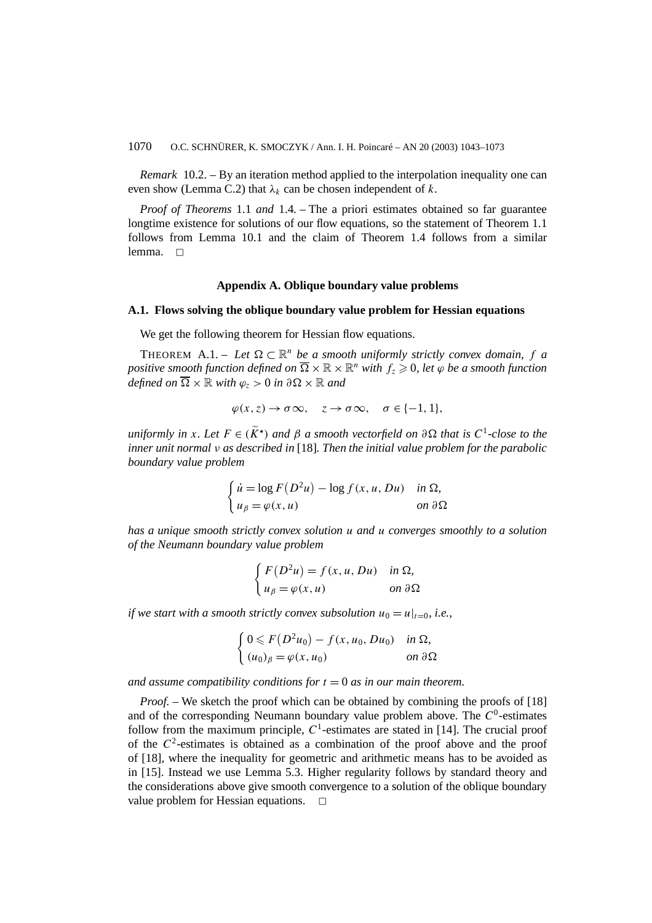*Remark* 10.2. – By an iteration method applied to the interpolation inequality one can even show (Lemma C.2) that  $\lambda_k$  can be chosen independent of  $k$ .

*Proof of Theorems* 1.1 *and* 1.4*. –* The a priori estimates obtained so far guarantee longtime existence for solutions of our flow equations, so the statement of Theorem 1.1 follows from Lemma 10.1 and the claim of Theorem 1.4 follows from a similar lemma.  $\square$ 

### **Appendix A. Oblique boundary value problems**

#### **A.1. Flows solving the oblique boundary value problem for Hessian equations**

We get the following theorem for Hessian flow equations.

THEOREM A.1. – Let  $\Omega \subset \mathbb{R}^n$  be a smooth uniformly strictly convex domain, f a *positive smooth function defined on*  $\overline{\Omega} \times \mathbb{R} \times \mathbb{R}^n$  *with*  $f_z \geq 0$ *, let*  $\varphi$  *be a smooth function defined on*  $\overline{\Omega} \times \mathbb{R}$  *with*  $\varphi$ <sub>z</sub> > 0 *in*  $\partial \Omega \times \mathbb{R}$  *and* 

$$
\varphi(x, z) \to \sigma \infty, \quad z \to \sigma \infty, \quad \sigma \in \{-1, 1\},\
$$

*uniformly in x. Let*  $F \in (\widetilde{K}^*)$  *and*  $\beta$  *a smooth vectorfield on*  $\partial \Omega$  *that is*  $C^1$ *-close to the inner unit normal ν as described in* [18]*. Then the initial value problem for the parabolic boundary value problem*

$$
\begin{cases} \n\dot{u} = \log F(D^2u) - \log f(x, u, Du) & \text{in } \Omega, \\ \nu_\beta = \varphi(x, u) & \text{on } \partial\Omega \n\end{cases}
$$

*has a unique smooth strictly convex solution u and u converges smoothly to a solution of the Neumann boundary value problem*

$$
\begin{cases}\nF(D^2u) = f(x, u, Du) & \text{in } \Omega, \\
u_\beta = \varphi(x, u) & \text{on } \partial\Omega\n\end{cases}
$$

*if we start with a smooth strictly convex subsolution*  $u_0 = u|_{t=0}$ , *i.e.*,

$$
\begin{cases} 0 \leq F(D^2u_0) - f(x, u_0, Du_0) & \text{in } \Omega, \\ (u_0)_{\beta} = \varphi(x, u_0) & \text{on } \partial\Omega \end{cases}
$$

*and assume compatibility conditions for*  $t = 0$  *as in our main theorem.* 

*Proof.* – We sketch the proof which can be obtained by combining the proofs of [18] and of the corresponding Neumann boundary value problem above. The *C*0-estimates follow from the maximum principle,  $C<sup>1</sup>$ -estimates are stated in [14]. The crucial proof of the  $C^2$ -estimates is obtained as a combination of the proof above and the proof of [18], where the inequality for geometric and arithmetic means has to be avoided as in [15]. Instead we use Lemma 5.3. Higher regularity follows by standard theory and the considerations above give smooth convergence to a solution of the oblique boundary value problem for Hessian equations.  $\Box$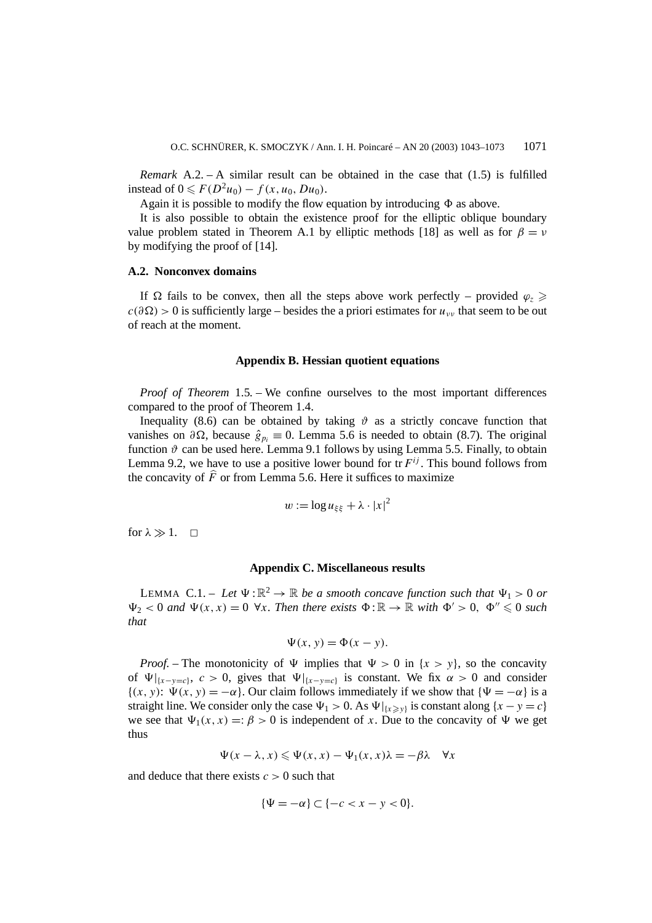*Remark* A.2. – A similar result can be obtained in the case that (1.5) is fulfilled instead of 0 ≤  $F(D^2u_0) - f(x, u_0, Du_0)$ .

Again it is possible to modify the flow equation by introducing  $\Phi$  as above.

It is also possible to obtain the existence proof for the elliptic oblique boundary value problem stated in Theorem A.1 by elliptic methods [18] as well as for  $\beta = \nu$ by modifying the proof of [14].

### **A.2. Nonconvex domains**

If  $\Omega$  fails to be convex, then all the steps above work perfectly – provided  $\varphi_z \geq 0$  $c(\partial \Omega) > 0$  is sufficiently large – besides the a priori estimates for  $u_{\nu\nu}$  that seem to be out of reach at the moment.

#### **Appendix B. Hessian quotient equations**

*Proof of Theorem* 1.5*. –* We confine ourselves to the most important differences compared to the proof of Theorem 1.4.

Inequality (8.6) can be obtained by taking  $\vartheta$  as a strictly concave function that vanishes on  $\partial \Omega$ , because  $\hat{g}_{p_i} \equiv 0$ . Lemma 5.6 is needed to obtain (8.7). The original function  $\vartheta$  can be used here. Lemma 9.1 follows by using Lemma 5.5. Finally, to obtain Lemma 9.2, we have to use a positive lower bound for  $tr F^{ij}$ . This bound follows from the concavity of  $\hat{F}$  or from Lemma 5.6. Here it suffices to maximize

$$
w := \log u_{\xi\xi} + \lambda \cdot |x|^2
$$

for  $\lambda \gg 1$ .  $\Box$ 

### **Appendix C. Miscellaneous results**

LEMMA C.1. – Let  $\Psi : \mathbb{R}^2 \to \mathbb{R}$  be a smooth concave function such that  $\Psi_1 > 0$  or  $\Psi_2 < 0$  and  $\Psi(x, x) = 0$   $\forall x$ . Then there exists  $\Phi : \mathbb{R} \to \mathbb{R}$  with  $\Phi' > 0$ ,  $\Phi'' \leq 0$  such *that*

$$
\Psi(x, y) = \Phi(x - y).
$$

*Proof.* – The monotonicity of  $\Psi$  implies that  $\Psi > 0$  in  $\{x > y\}$ , so the concavity of  $\Psi|_{x-y=c}$ ,  $c > 0$ , gives that  $\Psi|_{x-y=c}$  is constant. We fix  $\alpha > 0$  and consider  ${(x, y): \Psi(x, y) = -\alpha}$ . Our claim follows immediately if we show that  ${\Psi = -\alpha}$  is a straight line. We consider only the case  $\Psi_1 > 0$ . As  $\Psi|_{\{x \geq y\}}$  is constant along  $\{x - y = c\}$ we see that  $\Psi_1(x, x) =: \beta > 0$  is independent of *x*. Due to the concavity of  $\Psi$  we get thus

$$
\Psi(x - \lambda, x) \leqslant \Psi(x, x) - \Psi_1(x, x)\lambda = -\beta \lambda \quad \forall x
$$

and deduce that there exists *c >* 0 such that

$$
\{\Psi = -\alpha\} \subset \{-c < x - y < 0\}.
$$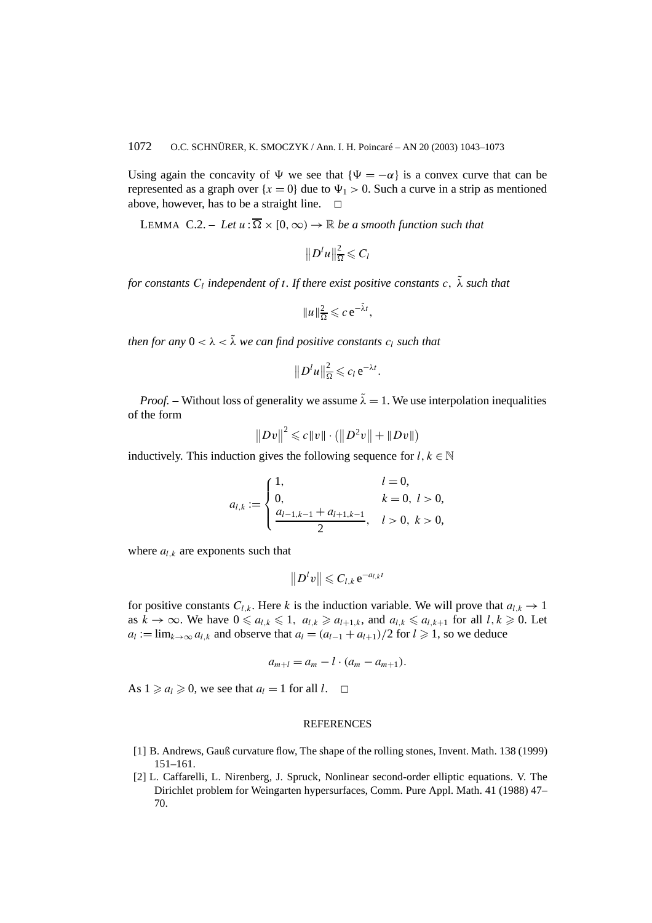Using again the concavity of  $\Psi$  we see that  ${\Psi = -\alpha}$  is a convex curve that can be represented as a graph over  ${x = 0}$  due to  $\Psi_1 > 0$ . Such a curve in a strip as mentioned above, however, has to be a straight line.  $\Box$ 

LEMMA C.2. – Let  $u : \overline{\Omega} \times [0, \infty) \to \mathbb{R}$  be a smooth function such that

$$
||D^lu||^2_{\overline{\Omega}}\leqslant C_l
$$

*for constants*  $C_l$  *independent of t. If there exist positive constants*  $c$ ,  $\tilde{\lambda}$  *such that* 

$$
||u||_{\overline{\Omega}}^2 \leqslant c e^{-\tilde{\lambda}t},
$$

*then for any*  $0 < \lambda < \tilde{\lambda}$  *we can find positive constants*  $c_l$  *such that* 

$$
||D^l u||_{\overline{\Omega}}^2 \leqslant c_l e^{-\lambda t}.
$$

*Proof.* – Without loss of generality we assume  $\tilde{\lambda} = 1$ . We use interpolation inequalities of the form

$$
||Dv||^2 \leq c||v|| \cdot (||D^2v|| + ||Dv||)
$$

inductively. This induction gives the following sequence for  $l, k \in \mathbb{N}$ 

$$
a_{l,k} := \begin{cases} 1, & l = 0, \\ 0, & k = 0, l > 0, \\ \frac{a_{l-1,k-1} + a_{l+1,k-1}}{2}, & l > 0, k > 0, \end{cases}
$$

where  $a_{l,k}$  are exponents such that

$$
||D^lv||\leq C_{l,k}e^{-a_{l,k}t}
$$

for positive constants  $C_{l,k}$ . Here *k* is the induction variable. We will prove that  $a_{l,k} \to 1$ as  $k \to \infty$ . We have  $0 \le a_{l,k} \le 1$ ,  $a_{l,k} \ge a_{l+1,k}$ , and  $a_{l,k} \le a_{l,k+1}$  for all  $l, k \ge 0$ . Let  $a_l := \lim_{k \to \infty} a_{l,k}$  and observe that  $a_l = (a_{l-1} + a_{l+1})/2$  for  $l \ge 1$ , so we deduce

$$
a_{m+l}=a_m-l\cdot (a_m-a_{m+1}).
$$

As  $1 \ge a_l \ge 0$ , we see that  $a_l = 1$  for all  $l$ .  $\Box$ 

#### REFERENCES

- [1] B. Andrews, Gauß curvature flow, The shape of the rolling stones, Invent. Math. 138 (1999) 151–161.
- [2] L. Caffarelli, L. Nirenberg, J. Spruck, Nonlinear second-order elliptic equations. V. The Dirichlet problem for Weingarten hypersurfaces, Comm. Pure Appl. Math. 41 (1988) 47– 70.